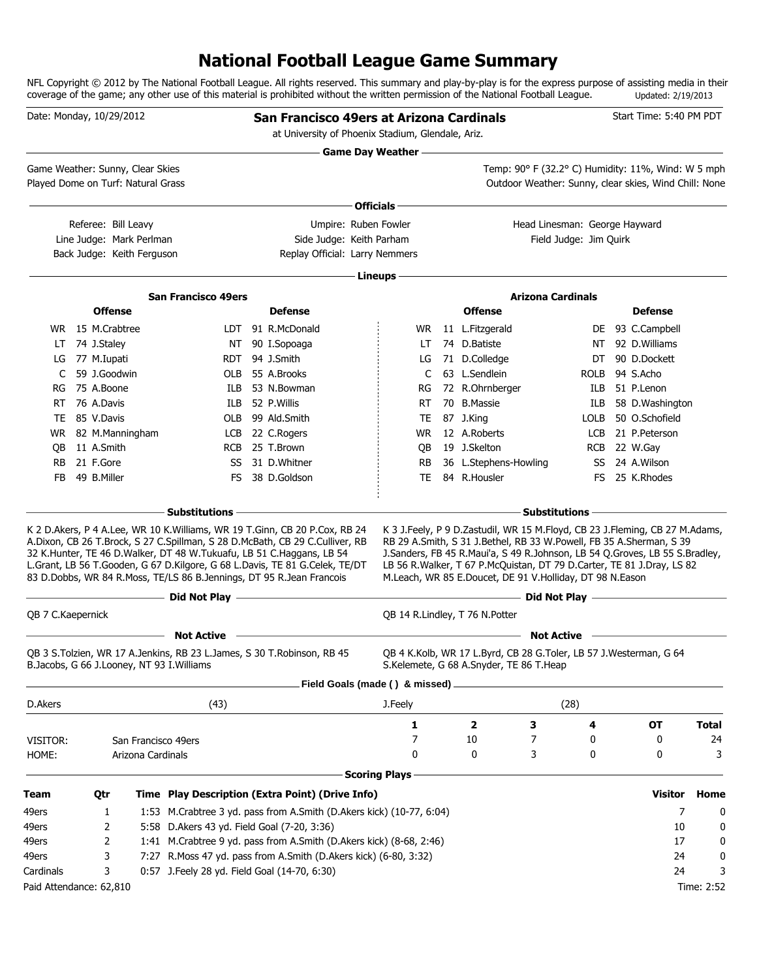# **National Football League Game Summary**

NFL Copyright © 2012 by The National Football League. All rights reserved. This summary and play-by-play is for the express purpose of assisting media in their coverage of the game; any other use of this material is prohibited without the written permission of the National Football League. Updated: 2/19/2013

| Date: Monday, 10/29/2012                                               |                     |                            |                                              | San Francisco 49ers at Arizona Cardinals<br>at University of Phoenix Stadium, Glendale, Ariz.                                                                                                                                                                                                                                                                                                                                                                                                                                                                                                                                          |                      |                                                                                                                                                                                                                                                                                                                                                                            |                                    |      | Start Time: 5:40 PM PDT                                                                                     |              |
|------------------------------------------------------------------------|---------------------|----------------------------|----------------------------------------------|----------------------------------------------------------------------------------------------------------------------------------------------------------------------------------------------------------------------------------------------------------------------------------------------------------------------------------------------------------------------------------------------------------------------------------------------------------------------------------------------------------------------------------------------------------------------------------------------------------------------------------------|----------------------|----------------------------------------------------------------------------------------------------------------------------------------------------------------------------------------------------------------------------------------------------------------------------------------------------------------------------------------------------------------------------|------------------------------------|------|-------------------------------------------------------------------------------------------------------------|--------------|
|                                                                        |                     |                            |                                              | — Game Day Weather —                                                                                                                                                                                                                                                                                                                                                                                                                                                                                                                                                                                                                   |                      |                                                                                                                                                                                                                                                                                                                                                                            |                                    |      |                                                                                                             |              |
| Game Weather: Sunny, Clear Skies<br>Played Dome on Turf: Natural Grass |                     |                            |                                              |                                                                                                                                                                                                                                                                                                                                                                                                                                                                                                                                                                                                                                        |                      |                                                                                                                                                                                                                                                                                                                                                                            |                                    |      | Temp: 90° F (32.2° C) Humidity: 11%, Wind: W 5 mph<br>Outdoor Weather: Sunny, clear skies, Wind Chill: None |              |
|                                                                        |                     |                            |                                              |                                                                                                                                                                                                                                                                                                                                                                                                                                                                                                                                                                                                                                        | ∙ Officials –        |                                                                                                                                                                                                                                                                                                                                                                            |                                    |      |                                                                                                             |              |
|                                                                        | Referee: Bill Leavy |                            |                                              | Umpire: Ruben Fowler                                                                                                                                                                                                                                                                                                                                                                                                                                                                                                                                                                                                                   |                      |                                                                                                                                                                                                                                                                                                                                                                            | Head Linesman: George Hayward      |      |                                                                                                             |              |
|                                                                        |                     | Line Judge: Mark Perlman   |                                              | Side Judge: Keith Parham                                                                                                                                                                                                                                                                                                                                                                                                                                                                                                                                                                                                               |                      |                                                                                                                                                                                                                                                                                                                                                                            | Field Judge: Jim Quirk             |      |                                                                                                             |              |
|                                                                        |                     | Back Judge: Keith Ferguson |                                              | Replay Official: Larry Nemmers                                                                                                                                                                                                                                                                                                                                                                                                                                                                                                                                                                                                         |                      |                                                                                                                                                                                                                                                                                                                                                                            |                                    |      |                                                                                                             |              |
|                                                                        |                     |                            |                                              |                                                                                                                                                                                                                                                                                                                                                                                                                                                                                                                                                                                                                                        | Lineups -            |                                                                                                                                                                                                                                                                                                                                                                            |                                    |      |                                                                                                             |              |
|                                                                        |                     |                            | <b>San Francisco 49ers</b>                   |                                                                                                                                                                                                                                                                                                                                                                                                                                                                                                                                                                                                                                        |                      |                                                                                                                                                                                                                                                                                                                                                                            | <b>Arizona Cardinals</b>           |      |                                                                                                             |              |
|                                                                        | <b>Offense</b>      |                            |                                              | <b>Defense</b>                                                                                                                                                                                                                                                                                                                                                                                                                                                                                                                                                                                                                         |                      | <b>Offense</b>                                                                                                                                                                                                                                                                                                                                                             |                                    |      | <b>Defense</b>                                                                                              |              |
|                                                                        | WR 15 M.Crabtree    |                            |                                              | LDT 91 R.McDonald                                                                                                                                                                                                                                                                                                                                                                                                                                                                                                                                                                                                                      | WR .                 | 11 L.Fitzgerald                                                                                                                                                                                                                                                                                                                                                            |                                    |      | DE 93 C.Campbell                                                                                            |              |
|                                                                        | LT 74 J.Staley      |                            |                                              | NT 90 I.Sopoaga                                                                                                                                                                                                                                                                                                                                                                                                                                                                                                                                                                                                                        | LT.                  | 74 D.Batiste                                                                                                                                                                                                                                                                                                                                                               |                                    | NT   | 92 D. Williams                                                                                              |              |
|                                                                        | LG 77 M.Iupati      |                            |                                              | RDT 94 J.Smith                                                                                                                                                                                                                                                                                                                                                                                                                                                                                                                                                                                                                         | LG                   | 71 D.Colledge                                                                                                                                                                                                                                                                                                                                                              |                                    | DT   | 90 D.Dockett                                                                                                |              |
| C                                                                      | 59 J.Goodwin        |                            |                                              | OLB 55 A.Brooks                                                                                                                                                                                                                                                                                                                                                                                                                                                                                                                                                                                                                        | C                    | 63 L.Sendlein                                                                                                                                                                                                                                                                                                                                                              |                                    | ROLB | 94 S.Acho                                                                                                   |              |
| RG                                                                     | 75 A.Boone          |                            |                                              | ILB 53 N.Bowman                                                                                                                                                                                                                                                                                                                                                                                                                                                                                                                                                                                                                        | RG                   | 72 R.Ohrnberger                                                                                                                                                                                                                                                                                                                                                            |                                    |      | ILB 51 P.Lenon                                                                                              |              |
|                                                                        | RT 76 A.Davis       |                            |                                              | ILB 52 P.Willis                                                                                                                                                                                                                                                                                                                                                                                                                                                                                                                                                                                                                        | RT.                  | 70 B.Massie                                                                                                                                                                                                                                                                                                                                                                |                                    | ILB  | 58 D.Washington                                                                                             |              |
|                                                                        | TE 85 V.Davis       |                            |                                              | OLB 99 Ald.Smith                                                                                                                                                                                                                                                                                                                                                                                                                                                                                                                                                                                                                       | TE                   | 87 J.King                                                                                                                                                                                                                                                                                                                                                                  |                                    | LOLB | 50 O.Schofield                                                                                              |              |
|                                                                        | WR 82 M.Manningham  |                            |                                              | LCB 22 C.Rogers                                                                                                                                                                                                                                                                                                                                                                                                                                                                                                                                                                                                                        | WR.                  | 12 A.Roberts                                                                                                                                                                                                                                                                                                                                                               |                                    | LCB  | 21 P.Peterson                                                                                               |              |
| QB                                                                     | 11 A.Smith          |                            |                                              | RCB 25 T.Brown                                                                                                                                                                                                                                                                                                                                                                                                                                                                                                                                                                                                                         | QB                   | 19 J.Skelton                                                                                                                                                                                                                                                                                                                                                               |                                    |      | RCB 22 W.Gay                                                                                                |              |
| RB                                                                     | 21 F.Gore           |                            |                                              | SS 31 D.Whitner                                                                                                                                                                                                                                                                                                                                                                                                                                                                                                                                                                                                                        | RB.                  | 36 L.Stephens-Howling                                                                                                                                                                                                                                                                                                                                                      |                                    |      | SS 24 A.Wilson                                                                                              |              |
| FB                                                                     | 49 B.Miller         |                            |                                              | FS 38 D.Goldson                                                                                                                                                                                                                                                                                                                                                                                                                                                                                                                                                                                                                        | <b>TE</b>            | 84 R.Housler                                                                                                                                                                                                                                                                                                                                                               |                                    |      | FS 25 K.Rhodes                                                                                              |              |
|                                                                        |                     |                            | <b>Substitutions</b>                         | the control of the control of the control of the control of the control of the control of                                                                                                                                                                                                                                                                                                                                                                                                                                                                                                                                              |                      |                                                                                                                                                                                                                                                                                                                                                                            | <b>Substitutions</b>               |      |                                                                                                             |              |
|                                                                        |                     |                            |                                              | K 2 D. Akers, P 4 A. Lee, WR 10 K. Williams, WR 19 T. Ginn, CB 20 P. Cox, RB 24<br>A.Dixon, CB 26 T.Brock, S 27 C.Spillman, S 28 D.McBath, CB 29 C.Culliver, RB<br>32 K.Hunter, TE 46 D.Walker, DT 48 W.Tukuafu, LB 51 C.Haggans, LB 54<br>L.Grant, LB 56 T.Gooden, G 67 D.Kilgore, G 68 L.Davis, TE 81 G.Celek, TE/DT<br>83 D.Dobbs, WR 84 R.Moss, TE/LS 86 B.Jennings, DT 95 R.Jean Francois<br>Did Not Play <u>and the Community of the Community of the Community of the Community of the Community of the Community of the Community of the Community of the Community of the Community of the Community of the Community of </u> |                      | K 3 J.Feely, P 9 D.Zastudil, WR 15 M.Floyd, CB 23 J.Fleming, CB 27 M.Adams,<br>RB 29 A.Smith, S 31 J.Bethel, RB 33 W.Powell, FB 35 A.Sherman, S 39<br>J.Sanders, FB 45 R.Maui'a, S 49 R.Johnson, LB 54 Q.Groves, LB 55 S.Bradley,<br>LB 56 R. Walker, T 67 P. McQuistan, DT 79 D. Carter, TE 81 J. Dray, LS 82<br>M.Leach, WR 85 E.Doucet, DE 91 V.Holliday, DT 98 N.Eason |                                    |      | <b>Example 2014 Not Play Construct 2014</b>                                                                 |              |
| QB 7 C.Kaepernick                                                      |                     |                            |                                              |                                                                                                                                                                                                                                                                                                                                                                                                                                                                                                                                                                                                                                        |                      | QB 14 R.Lindley, T 76 N.Potter                                                                                                                                                                                                                                                                                                                                             |                                    |      |                                                                                                             |              |
|                                                                        |                     |                            | Not Active                                   |                                                                                                                                                                                                                                                                                                                                                                                                                                                                                                                                                                                                                                        |                      | $\sim$ 100 $\sim$                                                                                                                                                                                                                                                                                                                                                          | Not Active <u>________________</u> |      |                                                                                                             |              |
|                                                                        |                     |                            | B.Jacobs, G 66 J.Looney, NT 93 I.Williams    | QB 3 S.Tolzien, WR 17 A.Jenkins, RB 23 L.James, S 30 T.Robinson, RB 45                                                                                                                                                                                                                                                                                                                                                                                                                                                                                                                                                                 |                      | QB 4 K.Kolb, WR 17 L.Byrd, CB 28 G.Toler, LB 57 J.Westerman, G 64<br>S.Kelemete, G 68 A.Snyder, TE 86 T.Heap                                                                                                                                                                                                                                                               |                                    |      |                                                                                                             |              |
|                                                                        |                     |                            |                                              | Field Goals (made () & missed).                                                                                                                                                                                                                                                                                                                                                                                                                                                                                                                                                                                                        |                      |                                                                                                                                                                                                                                                                                                                                                                            |                                    |      |                                                                                                             |              |
| D.Akers                                                                |                     |                            | (43)                                         |                                                                                                                                                                                                                                                                                                                                                                                                                                                                                                                                                                                                                                        | J.Feely              |                                                                                                                                                                                                                                                                                                                                                                            | (28)                               |      |                                                                                                             |              |
|                                                                        |                     |                            |                                              |                                                                                                                                                                                                                                                                                                                                                                                                                                                                                                                                                                                                                                        | 1                    | 2                                                                                                                                                                                                                                                                                                                                                                          | 3                                  | 4    | ОT                                                                                                          | <b>Total</b> |
| VISITOR:                                                               |                     |                            | San Francisco 49ers                          |                                                                                                                                                                                                                                                                                                                                                                                                                                                                                                                                                                                                                                        | 7                    | 10                                                                                                                                                                                                                                                                                                                                                                         | 7                                  | 0    | 0                                                                                                           | 24           |
| HOME:                                                                  |                     | Arizona Cardinals          |                                              |                                                                                                                                                                                                                                                                                                                                                                                                                                                                                                                                                                                                                                        | 0                    | 0                                                                                                                                                                                                                                                                                                                                                                          | 3                                  | 0    | 0                                                                                                           | 3            |
|                                                                        |                     |                            |                                              |                                                                                                                                                                                                                                                                                                                                                                                                                                                                                                                                                                                                                                        | <b>Scoring Plays</b> |                                                                                                                                                                                                                                                                                                                                                                            |                                    |      |                                                                                                             |              |
| Team                                                                   | Qtr                 |                            |                                              | Time Play Description (Extra Point) (Drive Info)                                                                                                                                                                                                                                                                                                                                                                                                                                                                                                                                                                                       |                      |                                                                                                                                                                                                                                                                                                                                                                            |                                    |      | Visitor                                                                                                     | Home         |
| 49ers                                                                  | 1                   |                            |                                              | 1:53 M.Crabtree 3 yd. pass from A.Smith (D.Akers kick) (10-77, 6:04)                                                                                                                                                                                                                                                                                                                                                                                                                                                                                                                                                                   |                      |                                                                                                                                                                                                                                                                                                                                                                            |                                    |      | 7                                                                                                           | 0            |
| 49ers                                                                  | 2                   |                            | 5:58 D. Akers 43 yd. Field Goal (7-20, 3:36) |                                                                                                                                                                                                                                                                                                                                                                                                                                                                                                                                                                                                                                        |                      |                                                                                                                                                                                                                                                                                                                                                                            |                                    |      | 10                                                                                                          | 0            |
| 49ers                                                                  | 2                   |                            |                                              | 1:41 M.Crabtree 9 yd. pass from A.Smith (D.Akers kick) (8-68, 2:46)                                                                                                                                                                                                                                                                                                                                                                                                                                                                                                                                                                    |                      |                                                                                                                                                                                                                                                                                                                                                                            |                                    |      | 17                                                                                                          | 0            |
| 49ers                                                                  | 3                   |                            |                                              | 7:27 R.Moss 47 yd. pass from A.Smith (D.Akers kick) (6-80, 3:32)                                                                                                                                                                                                                                                                                                                                                                                                                                                                                                                                                                       |                      |                                                                                                                                                                                                                                                                                                                                                                            |                                    |      | 24                                                                                                          | 0            |
| Cardinals                                                              | 3                   |                            | 0:57 J.Feely 28 yd. Field Goal (14-70, 6:30) |                                                                                                                                                                                                                                                                                                                                                                                                                                                                                                                                                                                                                                        |                      |                                                                                                                                                                                                                                                                                                                                                                            |                                    |      | 24                                                                                                          | 3            |
| Paid Attendance: 62,810                                                |                     |                            |                                              |                                                                                                                                                                                                                                                                                                                                                                                                                                                                                                                                                                                                                                        |                      |                                                                                                                                                                                                                                                                                                                                                                            |                                    |      |                                                                                                             | Time: 2:52   |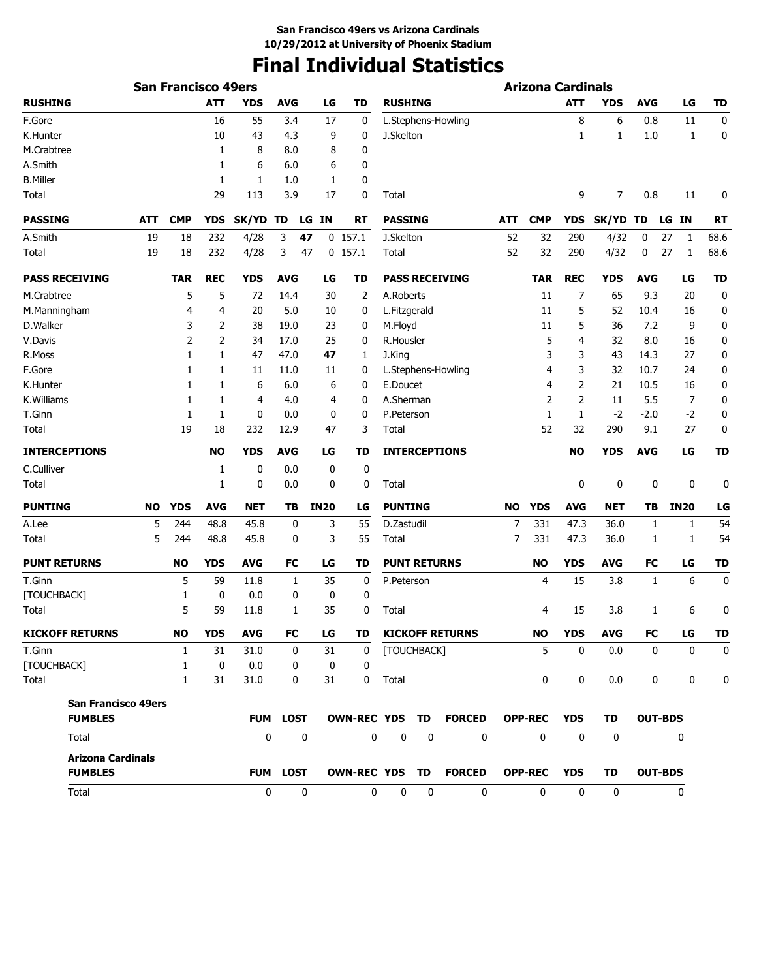# **Final Individual Statistics**

|                            |            | <b>San Francisco 49ers</b> |            |                 |            |              |              |                |                     |             |                        |           | <b>Arizona Cardinals</b> |                |              |                  |              |             |
|----------------------------|------------|----------------------------|------------|-----------------|------------|--------------|--------------|----------------|---------------------|-------------|------------------------|-----------|--------------------------|----------------|--------------|------------------|--------------|-------------|
| <b>RUSHING</b>             |            |                            | <b>ATT</b> | <b>YDS</b>      | <b>AVG</b> |              | LG           | <b>TD</b>      | <b>RUSHING</b>      |             |                        |           |                          | <b>ATT</b>     | <b>YDS</b>   | <b>AVG</b>       | LG           | <b>TD</b>   |
| F.Gore                     |            |                            | 16         | 55              | 3.4        |              | 17           | 0              |                     |             | L.Stephens-Howling     |           |                          | 8              | 6            | 0.8              | 11           | $\mathbf 0$ |
| K.Hunter                   |            |                            | 10         | 43              | 4.3        |              | 9            | $\mathbf 0$    | J.Skelton           |             |                        |           |                          | 1              | 1            | 1.0              | 1            | 0           |
| M.Crabtree                 |            |                            | 1          | 8               | 8.0        |              | 8            | 0              |                     |             |                        |           |                          |                |              |                  |              |             |
| A.Smith                    |            |                            | 1          | 6               | 6.0        |              | 6            | 0              |                     |             |                        |           |                          |                |              |                  |              |             |
| <b>B.Miller</b>            |            |                            | 1          | 1               | 1.0        |              | 1            | 0              |                     |             |                        |           |                          |                |              |                  |              |             |
| Total                      |            |                            | 29         | 113             | 3.9        |              | 17           | 0              | Total               |             |                        |           |                          | 9              | 7            | 0.8              | 11           | 0           |
| <b>PASSING</b>             | <b>ATT</b> | <b>CMP</b>                 | <b>YDS</b> | SK/YD           | TD         |              | <b>LG IN</b> | RT             | <b>PASSING</b>      |             |                        | ATT       | <b>CMP</b>               | YDS            | SK/YD TD     |                  | LG IN        | <b>RT</b>   |
| A.Smith                    | 19         | 18                         | 232        | 4/28            | 3          | 47           |              | $0$ 157.1      | J.Skelton           |             |                        | 52        | 32                       | 290            | 4/32         | 0                | 27<br>1      | 68.6        |
| Total                      | 19         | 18                         | 232        | 4/28            | 3          | 47           |              | $0$ 157.1      | Total               |             |                        | 52        | 32                       | 290            | 4/32         | 0                | 27<br>1      | 68.6        |
| <b>PASS RECEIVING</b>      |            | <b>TAR</b>                 | <b>REC</b> | <b>YDS</b>      | <b>AVG</b> |              | LG           | TD             |                     |             | <b>PASS RECEIVING</b>  |           | <b>TAR</b>               | <b>REC</b>     | <b>YDS</b>   | <b>AVG</b>       | LG           | <b>TD</b>   |
| M.Crabtree                 |            | 5                          | 5          | 72              | 14.4       |              | 30           | $\overline{2}$ | A.Roberts           |             |                        |           | 11                       | 7              | 65           | 9.3              | 20           | $\mathbf 0$ |
| M.Manningham               |            | 4                          | 4          | 20              | 5.0        |              | 10           | 0              | L.Fitzgerald        |             |                        |           | 11                       | 5              | 52           | 10.4             | 16           | 0           |
| D.Walker                   |            | 3                          | 2          | 38              | 19.0       |              | 23           | 0              | M.Floyd             |             |                        |           | 11                       | 5              | 36           | 7.2              | 9            | $\bf{0}$    |
| V.Davis                    |            | 2                          | 2          | 34              | 17.0       |              | 25           | 0              | R.Housler           |             |                        |           | 5                        | 4              | 32           | 8.0              | 16           | 0           |
| R.Moss                     |            | 1                          | 1          | 47              | 47.0       |              | 47           | 1              | J.King              |             |                        |           | 3                        | 3              | 43           | 14.3             | 27           | 0           |
| F.Gore                     |            | 1                          | 1          | 11              | 11.0       |              | 11           | 0              |                     |             | L.Stephens-Howling     |           | 4                        | 3              | 32           | 10.7             | 24           | 0           |
| K.Hunter                   |            | 1                          | 1          | 6               | 6.0        |              | 6            | 0              | E.Doucet            |             |                        |           | 4                        | $\overline{2}$ | 21           | 10.5             | 16           | 0           |
| K.Williams                 |            | 1                          | 1          | $\overline{4}$  | 4.0        |              | 4            | 0              | A.Sherman           |             |                        |           | 2                        | $\overline{2}$ | 11           | 5.5              | 7            | $\pmb{0}$   |
| T.Ginn                     |            | 1                          | 1          | 0               | 0.0        |              | 0            | 0              | P.Peterson          |             |                        |           | 1                        | 1              | $-2$         | $-2.0$           | $-2$         | 0           |
| Total                      |            | 19                         | 18         | 232             | 12.9       |              | 47           | 3              | Total               |             |                        |           | 52                       | 32             | 290          | 9.1              | 27           | 0           |
| <b>INTERCEPTIONS</b>       |            |                            | <b>NO</b>  | <b>YDS</b>      | <b>AVG</b> |              | LG           | <b>TD</b>      |                     |             | <b>INTERCEPTIONS</b>   |           |                          | <b>NO</b>      | <b>YDS</b>   | <b>AVG</b>       | LG           | <b>TD</b>   |
| C.Culliver                 |            |                            | 1          | 0               | 0.0        |              | 0            | $\bf{0}$       |                     |             |                        |           |                          |                |              |                  |              |             |
| Total                      |            |                            | 1          | 0               | 0.0        |              | 0            | 0              | Total               |             |                        |           |                          | 0              | 0            | 0                | 0            | 0           |
| <b>PUNTING</b>             | NO         | <b>YDS</b>                 | <b>AVG</b> | <b>NET</b>      | TB         |              | <b>IN20</b>  | LG             | <b>PUNTING</b>      |             |                        | <b>NO</b> | <b>YDS</b>               | <b>AVG</b>     | <b>NET</b>   | TВ               | <b>IN20</b>  | LG          |
| A.Lee                      | 5          | 244                        | 48.8       | 45.8            |            | 0            | 3            | 55             | D.Zastudil          |             |                        | 7         | 331                      | 47.3           | 36.0         | 1                | 1            | 54          |
| Total                      | 5          | 244                        | 48.8       | 45.8            |            | 0            | 3            | 55             | Total               |             |                        | 7         | 331                      | 47.3           | 36.0         | 1                | 1            | 54          |
| <b>PUNT RETURNS</b>        |            | <b>NO</b>                  | <b>YDS</b> | <b>AVG</b>      | FC         |              | LG           | TD             | <b>PUNT RETURNS</b> |             |                        |           | <b>NO</b>                | <b>YDS</b>     | <b>AVG</b>   | <b>FC</b>        | LG           | TD          |
| T.Ginn                     |            | 5                          | 59         | 11.8            |            | 1            | 35           | 0              | P.Peterson          |             |                        |           | 4                        | 15             | 3.8          | 1                | 6            | 0           |
| [TOUCHBACK]                |            | 1                          | 0          | 0.0             |            | 0            | 0            | 0              |                     |             |                        |           |                          |                |              |                  |              |             |
| Total                      |            | 5                          | 59         | 11.8            |            | 1            | 35           | 0              | Total               |             |                        |           | 4                        | 15             | 3.8          | 1                | 6            | 0           |
| <b>KICKOFF RETURNS</b>     |            | <b>NO</b>                  | <b>YDS</b> | <b>AVG</b>      |            | FC           | LG           | TD             |                     |             | <b>KICKOFF RETURNS</b> |           | <b>NO</b>                | <b>YDS</b>     | <b>AVG</b>   | FC               | LG           | TD          |
| T.Ginn                     |            | 1                          | 31         | 31.0            |            | 0            | 31           | 0              | [TOUCHBACK]         |             |                        |           | 5                        | 0              | 0.0          | 0                | 0            | 0           |
| [TOUCHBACK]                |            | $\mathbf{1}$               | 0          | 0.0             |            | 0            | 0            | 0              |                     |             |                        |           |                          |                |              |                  |              |             |
| Total                      |            | $\mathbf{1}$               | 31         | 31.0            |            | 0            | 31           | $\mathbf 0$    | Total               |             |                        |           | $\mathbf 0$              | $\mathbf 0$    | 0.0          | $\boldsymbol{0}$ | 0            | 0           |
| <b>San Francisco 49ers</b> |            |                            |            |                 |            |              |              |                |                     |             |                        |           |                          |                |              |                  |              |             |
| <b>FUMBLES</b>             |            |                            |            | <b>FUM LOST</b> |            |              |              | OWN-REC YDS TD |                     |             | <b>FORCED</b>          |           | <b>OPP-REC</b>           | <b>YDS</b>     | <b>TD</b>    | <b>OUT-BDS</b>   |              |             |
| Total                      |            |                            |            | $\mathbf{0}$    |            | $\mathbf 0$  |              | $\mathbf 0$    | 0                   | $\mathbf 0$ | $\mathbf{0}$           |           | $\mathbf{0}$             | $\mathbf 0$    | $\mathbf{0}$ |                  | $\mathbf{0}$ |             |
| <b>Arizona Cardinals</b>   |            |                            |            |                 |            |              |              |                |                     |             |                        |           |                          |                |              |                  |              |             |
| <b>FUMBLES</b>             |            |                            |            | <b>FUM LOST</b> |            |              |              | OWN-REC YDS TD |                     |             | <b>FORCED</b>          |           | <b>OPP-REC</b>           | <b>YDS</b>     | <b>TD</b>    | <b>OUT-BDS</b>   |              |             |
| Total                      |            |                            |            | 0               |            | $\mathbf{0}$ |              | $\mathbf{0}$   | 0                   | 0           | $\mathbf{0}$           |           | $\mathbf{0}$             | $\mathbf{0}$   | $\mathbf{0}$ |                  | 0            |             |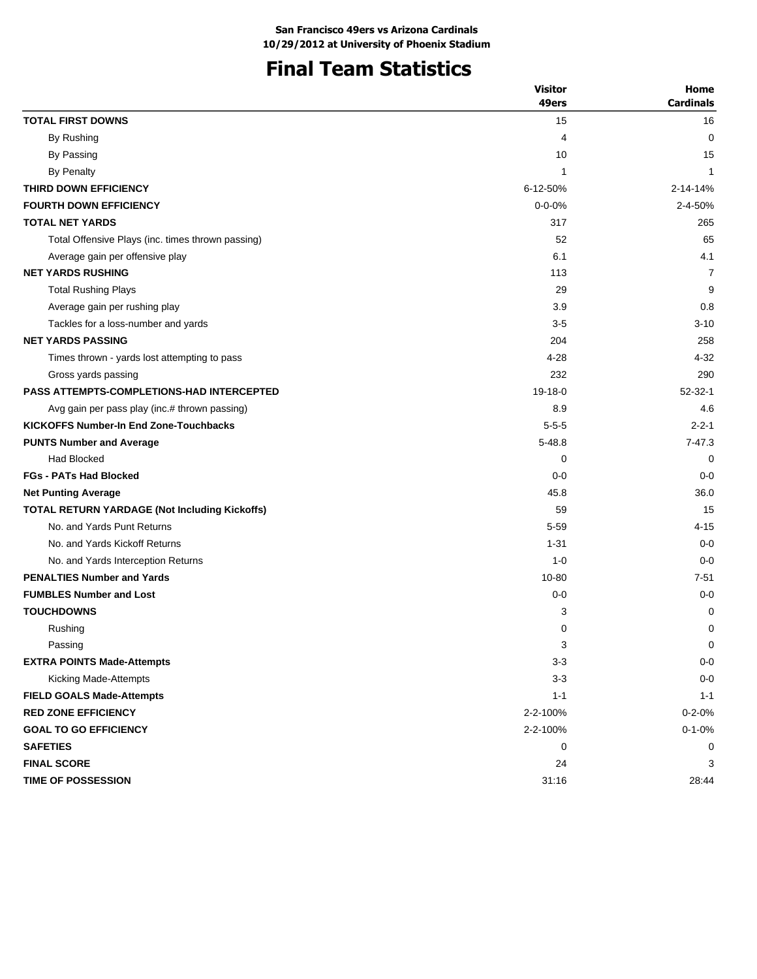# **Final Team Statistics**

|                                                   | <b>Visitor</b> | Home             |
|---------------------------------------------------|----------------|------------------|
|                                                   | 49ers          | <b>Cardinals</b> |
| <b>TOTAL FIRST DOWNS</b>                          | 15             | 16               |
| By Rushing                                        | 4              | 0                |
| By Passing                                        | 10             | 15               |
| By Penalty                                        | 1              | 1                |
| THIRD DOWN EFFICIENCY                             | 6-12-50%       | 2-14-14%         |
| <b>FOURTH DOWN EFFICIENCY</b>                     | $0 - 0 - 0%$   | 2-4-50%          |
| <b>TOTAL NET YARDS</b>                            | 317            | 265              |
| Total Offensive Plays (inc. times thrown passing) | 52             | 65               |
| Average gain per offensive play                   | 6.1            | 4.1              |
| <b>NET YARDS RUSHING</b>                          | 113            | 7                |
| <b>Total Rushing Plays</b>                        | 29             | 9                |
| Average gain per rushing play                     | 3.9            | 0.8              |
| Tackles for a loss-number and yards               | $3-5$          | $3 - 10$         |
| <b>NET YARDS PASSING</b>                          | 204            | 258              |
| Times thrown - yards lost attempting to pass      | $4 - 28$       | $4 - 32$         |
| Gross yards passing                               | 232            | 290              |
| <b>PASS ATTEMPTS-COMPLETIONS-HAD INTERCEPTED</b>  | $19-18-0$      | $52 - 32 - 1$    |
| Avg gain per pass play (inc.# thrown passing)     | 8.9            | 4.6              |
| <b>KICKOFFS Number-In End Zone-Touchbacks</b>     | $5 - 5 - 5$    | $2 - 2 - 1$      |
| <b>PUNTS Number and Average</b>                   | $5 - 48.8$     | $7 - 47.3$       |
| <b>Had Blocked</b>                                | 0              | 0                |
| <b>FGs - PATs Had Blocked</b>                     | $0 - 0$        | $0 - 0$          |
| <b>Net Punting Average</b>                        | 45.8           | 36.0             |
| TOTAL RETURN YARDAGE (Not Including Kickoffs)     | 59             | 15               |
| No. and Yards Punt Returns                        | $5 - 59$       | 4-15             |
| No. and Yards Kickoff Returns                     | $1 - 31$       | $0 - 0$          |
| No. and Yards Interception Returns                | $1 - 0$        | $0 - 0$          |
| <b>PENALTIES Number and Yards</b>                 | 10-80          | $7 - 51$         |
| <b>FUMBLES Number and Lost</b>                    | $0 - 0$        | $0 - 0$          |
| <b>TOUCHDOWNS</b>                                 | 3              | 0                |
| Rushing                                           | 0              | 0                |
| Passing                                           | 3              | 0                |
| <b>EXTRA POINTS Made-Attempts</b>                 | $3 - 3$        | $0-0$            |
| Kicking Made-Attempts                             | $3 - 3$        | $0-0$            |
| <b>FIELD GOALS Made-Attempts</b>                  | $1 - 1$        | $1 - 1$          |
| <b>RED ZONE EFFICIENCY</b>                        | 2-2-100%       | $0 - 2 - 0%$     |
| <b>GOAL TO GO EFFICIENCY</b>                      | 2-2-100%       | $0 - 1 - 0%$     |
| <b>SAFETIES</b>                                   | 0              | 0                |
| <b>FINAL SCORE</b>                                | 24             | 3                |
| TIME OF POSSESSION                                | 31:16          | 28:44            |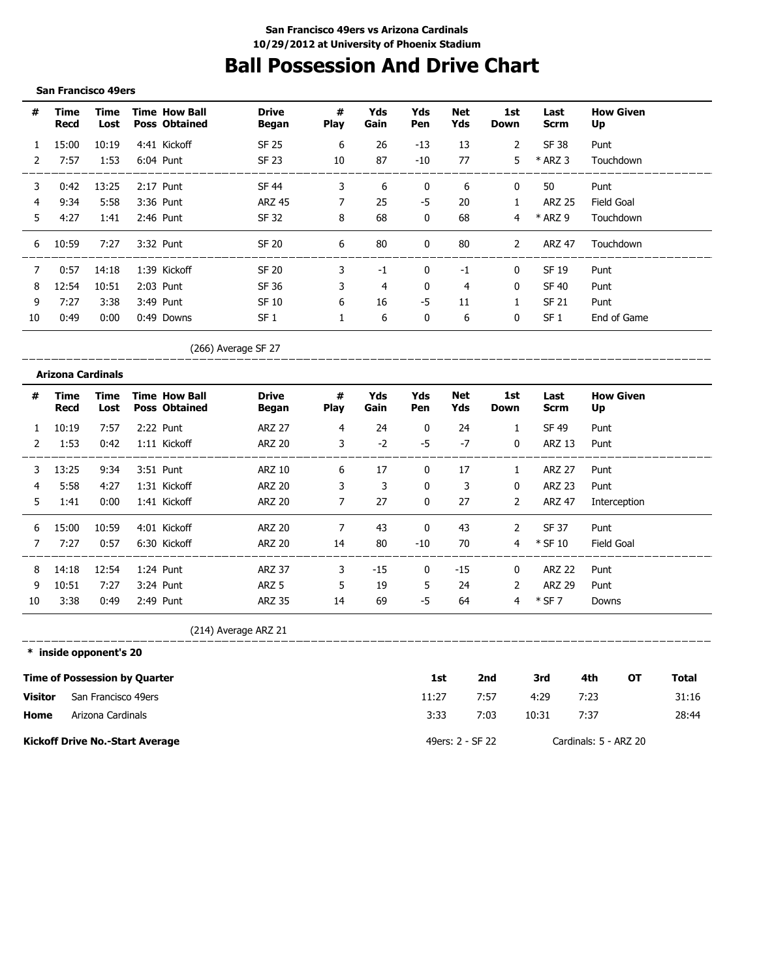# **Ball Possession And Drive Chart**

#### **San Francisco 49ers**

| #            | Time<br>Recd | Time<br>Lost | <b>Time How Ball</b><br><b>Poss Obtained</b> | <b>Drive</b><br>Began | #<br><b>Play</b> | Yds<br>Gain | Yds<br>Pen   | Net<br>Yds | 1st<br>Down    | Last<br><b>Scrm</b> | <b>How Given</b><br>Up |
|--------------|--------------|--------------|----------------------------------------------|-----------------------|------------------|-------------|--------------|------------|----------------|---------------------|------------------------|
| $\mathbf{1}$ | 15:00        | 10:19        | 4:41 Kickoff                                 | <b>SF 25</b>          | 6                | 26          | $-13$        | 13         | 2              | SF 38               | Punt                   |
| 2            | 7:57         | 1:53         | 6:04 Punt                                    | SF 23                 | 10               | 87          | $-10$        | 77         | 5              | $*$ ARZ 3           | Touchdown              |
| 3            | 0:42         | 13:25        | 2:17 Punt                                    | <b>SF 44</b>          | 3                | 6           | 0            | 6          | 0              | 50                  | Punt                   |
| 4            | 9:34         | 5:58         | 3:36 Punt                                    | <b>ARZ 45</b>         | 7                | 25          | -5           | 20         | 1              | <b>ARZ 25</b>       | Field Goal             |
| 5.           | 4:27         | 1:41         | 2:46 Punt                                    | <b>SF 32</b>          | 8                | 68          | $\mathbf{0}$ | 68         | $\overline{4}$ | * ARZ 9             | Touchdown              |
| 6            | 10:59        | 7:27         | 3:32 Punt                                    | <b>SF 20</b>          | 6                | 80          | $\mathbf{0}$ | 80         | $\mathcal{P}$  | <b>ARZ 47</b>       | Touchdown              |
| 7            | 0:57         | 14:18        | 1:39 Kickoff                                 | <b>SF 20</b>          | 3                | $-1$        | $\mathbf{0}$ | $-1$       | $\mathbf{0}$   | SF 19               | Punt                   |
| 8            | 12:54        | 10:51        | 2:03 Punt                                    | SF 36                 | 3                | 4           | 0            | 4          | $\mathbf{0}$   | <b>SF 40</b>        | Punt                   |
| 9            | 7:27         | 3:38         | 3:49 Punt                                    | SF 10                 | 6                | 16          | -5           | 11         |                | <b>SF 21</b>        | Punt                   |
| 10           | 0:49         | 0:00         | 0:49 Downs                                   | SF <sub>1</sub>       |                  | 6           | 0            | 6          | 0              | SF <sub>1</sub>     | End of Game            |

(266) Average SF 27

\_\_\_\_\_\_\_\_\_\_\_\_\_\_\_\_ 

| #            | Time<br>Recd | Time<br>Lost | <b>Time How Ball</b><br><b>Poss Obtained</b> | <b>Drive</b><br>Began | #<br><b>Play</b> | Yds<br>Gain | Yds<br>Pen   | Net<br>Yds | 1st<br><b>Down</b> | Last<br>Scrm  | <b>How Given</b><br>Up |
|--------------|--------------|--------------|----------------------------------------------|-----------------------|------------------|-------------|--------------|------------|--------------------|---------------|------------------------|
| $\mathbf{1}$ | 10:19        | 7:57         | 2:22 Punt                                    | <b>ARZ 27</b>         | 4                | 24          | $\mathbf{0}$ | 24         | 1                  | SF 49         | Punt                   |
| 2            | 1:53         | 0:42         | 1:11 Kickoff                                 | <b>ARZ 20</b>         | 3                | $-2$        | -5           | $-7$       | $\mathbf 0$        | <b>ARZ 13</b> | Punt                   |
| 3            | 13:25        | 9:34         | 3:51 Punt                                    | ARZ 10                | 6                | 17          | $\mathbf{0}$ | 17         | $\mathbf{1}$       | <b>ARZ 27</b> | Punt                   |
| 4            | 5:58         | 4:27         | 1:31 Kickoff                                 | ARZ 20                | 3                | 3           | 0            | 3          | $\mathbf{0}$       | <b>ARZ 23</b> | Punt                   |
| 5.           | 1:41         | 0:00         | 1:41 Kickoff                                 | <b>ARZ 20</b>         | 7                | 27          | $\mathbf{0}$ | 27         | $\overline{2}$     | <b>ARZ 47</b> | Interception           |
| 6            | 15:00        | 10:59        | 4:01 Kickoff                                 | <b>ARZ 20</b>         | 7                | 43          | $\mathbf{0}$ | 43         | 2                  | SF 37         | Punt                   |
|              | 7:27         | 0:57         | 6:30 Kickoff                                 | ARZ 20                | 14               | 80          | $-10$        | 70         | 4                  | $*$ SF 10     | Field Goal             |
| 8            | 14:18        | 12:54        | 1:24 Punt                                    | <b>ARZ 37</b>         | 3                | $-15$       | $\mathbf{0}$ | $-15$      | 0                  | <b>ARZ 22</b> | Punt                   |
| 9            | 10:51        | 7:27         | 3:24 Punt                                    | ARZ 5                 | 5                | 19          | 5            | 24         | 2                  | <b>ARZ 29</b> | Punt                   |
| 10           | 3:38         | 0:49         | 2:49 Punt                                    | <b>ARZ 35</b>         | 14               | 69          | -5           | 64         | 4                  | $*$ SF 7      | Downs                  |

(214) Average ARZ 21

---------------------**\* inside opponent's 20**

|                | <b>Time of Possession by Quarter</b>   | 1st   | 2nd              | 3rd   | 4th                   | ΟТ | Total |
|----------------|----------------------------------------|-------|------------------|-------|-----------------------|----|-------|
| <b>Visitor</b> | San Francisco 49ers                    | 11:27 | 7:57             | 4:29  | 7:23                  |    | 31:16 |
| Home           | Arizona Cardinals                      | 3:33  | 7:03             | 10:31 | 7:37                  |    | 28:44 |
|                | <b>Kickoff Drive No.-Start Average</b> |       | 49ers: 2 - SF 22 |       | Cardinals: 5 - ARZ 20 |    |       |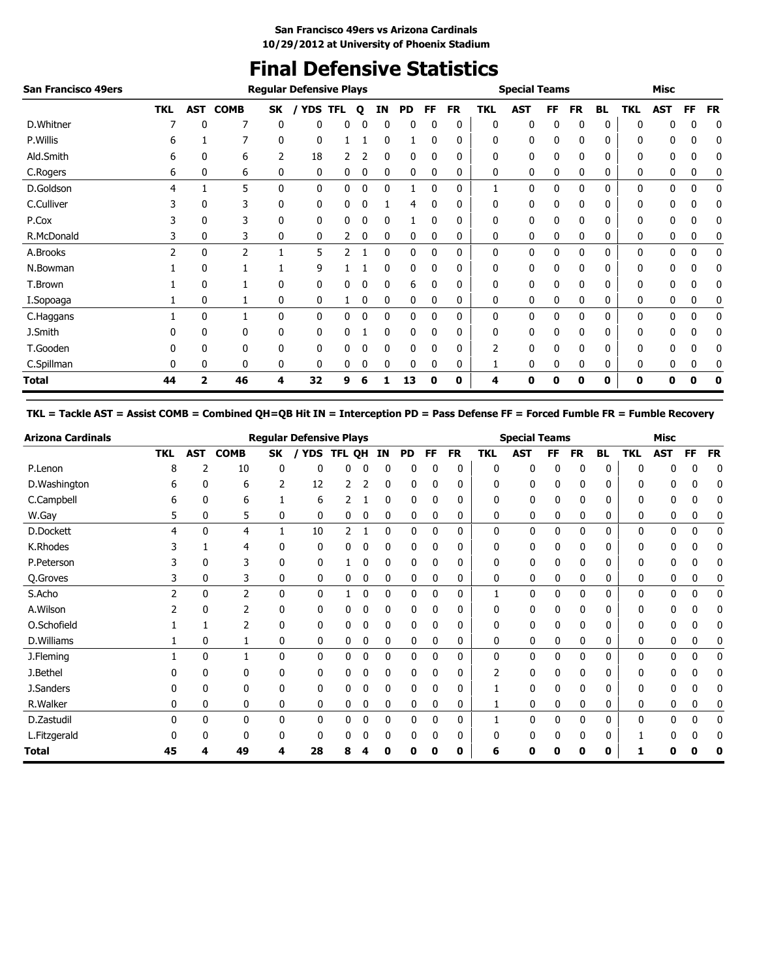# **Final Defensive Statistics**

| <b>San Francisco 49ers</b> |               |             |                |    | <b>Regular Defensive Plays</b> |            |   |             |           |    |           |            | <b>Special Teams</b> |    |           |           |     | <b>Misc</b> |             |           |
|----------------------------|---------------|-------------|----------------|----|--------------------------------|------------|---|-------------|-----------|----|-----------|------------|----------------------|----|-----------|-----------|-----|-------------|-------------|-----------|
|                            | <b>TKL</b>    | <b>AST</b>  | <b>COMB</b>    | SK | <b>YDS</b>                     | <b>TFL</b> | Q | ΙN          | <b>PD</b> | FF | <b>FR</b> | <b>TKL</b> | <b>AST</b>           | FF | <b>FR</b> | <b>BL</b> | TKL | <b>AST</b>  | FF          | <b>FR</b> |
| D.Whitner                  |               | 0           | 7              | 0  | 0                              | 0          |   | 0           | 0         | 0  | 0         | 0          | 0                    | 0  | 0         | 0         | 0   | 0           | 0           | 0         |
| P.Willis                   | 6             |             |                | 0  | 0                              |            |   | 0           |           | 0  | 0         | 0          | 0                    | 0  | 0         | 0         | 0   | 0           | 0           | 0         |
| Ald.Smith                  | 6             | 0           | 6              | 2  | 18                             |            |   | 0           | 0         | 0  | 0         | 0          | 0                    | 0  | 0         | 0         | 0   | 0           | 0           | 0         |
| C.Rogers                   | 6             | 0           | 6              | 0  | 0                              | 0          | 0 | 0           | 0         | 0  | 0         | 0          | 0                    | 0  | 0         | 0         | 0   | 0           | 0           | 0         |
| D.Goldson                  | 4             |             | 5              | 0  | 0                              | 0          | 0 | $\mathbf 0$ |           | 0  | 0         | 1          | 0                    | 0  | 0         | 0         | 0   | 0           | 0           | 0         |
| C.Culliver                 |               | 0           | 3              | 0  | 0                              | 0          |   |             | 4         |    | 0         | 0          | 0                    |    | 0         | 0         | 0   | 0           | 0           | 0         |
| P.Cox                      |               | 0           | 3              | 0  | 0                              | 0          |   | 0           |           | 0  | 0         | 0          | 0                    |    | 0         | 0         | 0   | 0           |             | 0         |
| R.McDonald                 | 3             | 0           | 3              | 0  | 0                              | 2          | 0 | 0           | 0         | 0  | 0         | 0          | 0                    | 0  | 0         | 0         | 0   | 0           | 0           | 0         |
| A.Brooks                   | $\mathcal{P}$ | 0           | $\overline{2}$ |    | 5                              | 2          |   | $\mathbf 0$ | 0         | 0  | 0         | 0          | 0                    | 0  | 0         | 0         | 0   | 0           | 0           | 0         |
| N.Bowman                   |               | 0           |                |    | 9                              |            |   | 0           | 0         | 0  | 0         | 0          | 0                    | 0  | 0         | 0         | 0   | 0           | 0           | 0         |
| T.Brown                    |               | 0           |                | 0  | 0                              | 0          |   | 0           | 6         | 0  | 0         | 0          | 0                    | 0  | 0         | 0         | 0   | 0           | 0           | 0         |
| I.Sopoaga                  |               | $\mathbf 0$ |                | 0  | 0                              |            | 0 | 0           | 0         | 0  | 0         | 0          | 0                    | 0  | 0         | 0         | 0   | 0           | 0           | 0         |
| C.Haggans                  |               | 0           |                | 0  | 0                              | 0          | 0 | 0           | 0         | 0  | 0         | 0          | 0                    | 0  | 0         | 0         | 0   | 0           | $\mathbf 0$ | 0         |
| J.Smith                    |               | 0           | 0              | 0  | 0                              | 0          |   | 0           | 0         | 0  | 0         | 0          | 0                    | 0  | 0         | 0         | 0   | 0           | 0           | 0         |
| T.Gooden                   |               | 0           | 0              | 0  | 0                              | 0          |   | 0           | 0         | 0  | 0         |            | 0                    | 0  | 0         | 0         | 0   | 0           | 0           | 0         |
| C.Spillman                 | 0             | 0           | 0              | 0  | 0                              | 0          |   | 0           | 0         | 0  | 0         |            | 0                    |    | 0         | 0         | 0   | 0           | 0           |           |
| <b>Total</b>               | 44            | 2           | 46             | 4  | 32                             | 9          | 6 |             | 13        | 0  | 0         | 4          | Λ                    | ŋ  | 0         | 0         | 0   | 0           | U           |           |

**TKL = Tackle AST = Assist COMB = Combined QH=QB Hit IN = Interception PD = Pass Defense FF = Forced Fumble FR = Fumble Recovery**

| <b>Arizona Cardinals</b> |                |              |                |              | <b>Regular Defensive Plays</b> |        |          |    |             |              |           |              | <b>Special Teams</b> |              |           |              |              | <b>Misc</b> |           |           |
|--------------------------|----------------|--------------|----------------|--------------|--------------------------------|--------|----------|----|-------------|--------------|-----------|--------------|----------------------|--------------|-----------|--------------|--------------|-------------|-----------|-----------|
|                          | <b>TKL</b>     | <b>AST</b>   | <b>COMB</b>    | SK           | <b>YDS</b>                     | TFL QH |          | IN | <b>PD</b>   | FF           | <b>FR</b> | <b>TKL</b>   | <b>AST</b>           | FF           | <b>FR</b> | <b>BL</b>    | <b>TKL</b>   | <b>AST</b>  | <b>FF</b> | <b>FR</b> |
| P.Lenon                  | 8              | 2            | 10             | 0            | 0                              | 0      |          | 0  | 0           | 0            | 0         | 0            | 0                    | 0            | 0         | 0            | 0            | 0           |           | 0         |
| D.Washington             | 6              | 0            | 6              | 2            | 12                             | 2      |          | 0  | 0           | 0            | 0         | 0            | 0                    | 0            | 0         | 0            | 0            | 0           | C         | 0         |
| C.Campbell               | 6              | 0            | 6              |              | 6                              |        |          | 0  | 0           | 0            | 0         | 0            | 0                    | 0            | 0         | 0            | 0            | 0           | 0         | 0         |
| W.Gay                    | 5              | 0            | 5              | 0            | 0                              | 0      | 0        | 0  | 0           | 0            | 0         | 0            | 0                    | 0            | 0         | 0            | 0            | 0           | 0         | 0         |
| D.Dockett                | 4              | $\mathbf{0}$ | 4              |              | 10                             | 2      |          | 0  | 0           | 0            | 0         | 0            | 0                    | $\mathbf{0}$ | 0         | $\mathbf{0}$ | 0            | 0           | 0         | 0         |
| K.Rhodes                 |                |              | 4              | 0            | 0                              | 0      | 0        | 0  | 0           | 0            | 0         | 0            | 0                    | 0            | 0         | 0            | 0            | 0           | 0         | 0         |
| P.Peterson               |                | 0            | 3              | 0            | 0                              |        | 0        | 0  | 0           | 0            | 0         | 0            | 0                    | 0            | 0         | 0            | 0            | 0           | 0         | 0         |
| Q.Groves                 |                | 0            | 3              | 0            | 0                              | 0      | 0        | 0  | 0           | 0            | 0         | 0            | 0                    | 0            | 0         | 0            | 0            | 0           | 0         | 0         |
| S.Acho                   | $\overline{2}$ | $\mathbf{0}$ | $\overline{2}$ | $\mathbf{0}$ | 0                              |        | 0        | 0  | $\mathbf 0$ | $\mathbf{0}$ | 0         |              | 0                    | $\mathbf{0}$ | 0         | 0            | $\mathbf{0}$ | 0           | 0         | 0         |
| A.Wilson                 |                | 0            | $\overline{2}$ | 0            | 0                              | 0      | 0        | 0  | 0           | 0            | 0         | 0            | 0                    | 0            | 0         | 0            | 0            | 0           | ſ         | 0         |
| O.Schofield              |                |              | 2              | 0            | 0                              | 0      | 0        | 0  | 0           | 0            | 0         | 0            | 0                    | 0            | 0         | 0            | 0            | 0           | 0         | 0         |
| D.Williams               |                | 0            |                | 0            | 0                              | 0      | 0        | 0  | 0           | 0            | 0         | 0            | 0                    | 0            | 0         | 0            | 0            | 0           | 0         | 0         |
| J.Fleming                |                | $\mathbf{0}$ | $\mathbf{1}$   | $\mathbf{0}$ | 0                              | 0      | $\Omega$ | 0  | 0           | $\Omega$     | 0         | $\mathbf{0}$ | 0                    | $\mathbf{0}$ | 0         | 0            | $\Omega$     | 0           | 0         | 0         |
| J.Bethel                 |                | 0            | 0              | 0            | 0                              | 0      |          | 0  | 0           | 0            | 0         | 2            | 0                    | $\mathbf{0}$ | 0         | 0            | 0            | 0           |           | 0         |
| J.Sanders                |                | 0            | 0              | 0            | 0                              | 0      |          | 0  | 0           | 0            | 0         |              | 0                    | 0            | 0         | 0            | 0            | 0           | 0         | 0         |
| R. Walker                | 0              | 0            | 0              | 0            | 0                              | 0      | 0        | 0  | 0           | 0            | 0         |              | 0                    | 0            | 0         | 0            | 0            | 0           | 0         | 0         |
| D.Zastudil               | 0              | $\Omega$     | $\mathbf{0}$   | $\mathbf{0}$ | 0                              | 0      | C        | 0  | 0           | 0            | 0         |              | 0                    | 0            | 0         | $\mathbf{0}$ | 0            | 0           | 0         | 0         |
| L.Fitzgerald             |                | U            | 0              | 0            | 0                              | 0      |          | 0  | 0           | 0            | 0         | 0            | 0                    | 0            | 0         | 0            |              |             |           | 0         |
| Total                    | 45             | 4            | 49             | 4            | 28                             | 8      |          |    |             | 0            | 0         | 6            | 0                    | 0            |           | 0            |              | Ω           |           | 0         |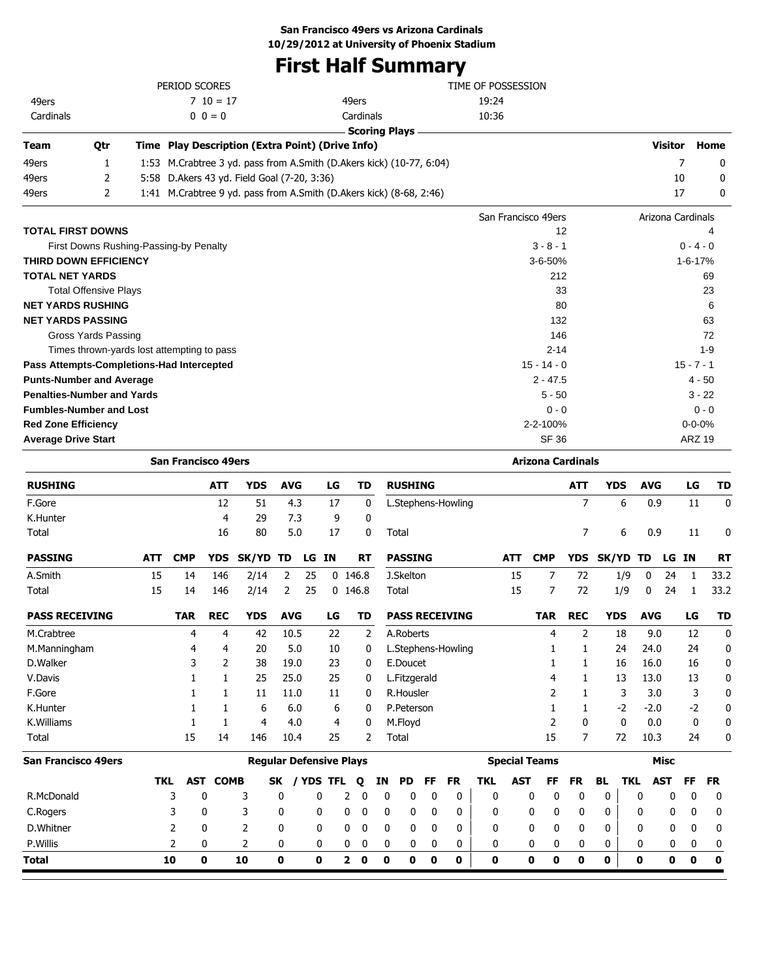# **First Half Summary**

|                            |                                            |     | PERIOD SCORES              |             |                                                  |            |       |    |           |                                                                      | TIME OF POSSESSION  |                          |                |            |            |                   |               |                  |
|----------------------------|--------------------------------------------|-----|----------------------------|-------------|--------------------------------------------------|------------|-------|----|-----------|----------------------------------------------------------------------|---------------------|--------------------------|----------------|------------|------------|-------------------|---------------|------------------|
| 49ers                      |                                            |     |                            | $710 = 17$  |                                                  |            |       |    | 49ers     |                                                                      | 19:24               |                          |                |            |            |                   |               |                  |
| Cardinals                  |                                            |     |                            | $0 \t0 = 0$ |                                                  |            |       |    | Cardinals |                                                                      | 10:36               |                          |                |            |            |                   |               |                  |
|                            |                                            |     |                            |             |                                                  |            |       |    |           | <b>Scoring Plays</b>                                                 |                     |                          |                |            |            |                   |               |                  |
| Team                       | Qtr                                        |     |                            |             | Time Play Description (Extra Point) (Drive Info) |            |       |    |           |                                                                      |                     |                          |                |            |            | Visitor           |               | Home             |
| 49ers                      | $\mathbf{1}$                               |     |                            |             |                                                  |            |       |    |           | 1:53 M.Crabtree 3 yd. pass from A.Smith (D.Akers kick) (10-77, 6:04) |                     |                          |                |            |            | $\overline{7}$    |               | 0                |
| 49ers                      | 2                                          |     |                            |             | 5:58 D.Akers 43 yd. Field Goal (7-20, 3:36)      |            |       |    |           |                                                                      |                     |                          |                |            |            | 10                |               | 0                |
| 49ers                      | $\overline{2}$                             |     |                            |             |                                                  |            |       |    |           | 1:41 M.Crabtree 9 yd. pass from A.Smith (D.Akers kick) (8-68, 2:46)  |                     |                          |                |            |            | 17                |               | 0                |
|                            |                                            |     |                            |             |                                                  |            |       |    |           |                                                                      | San Francisco 49ers |                          |                |            |            | Arizona Cardinals |               |                  |
|                            | <b>TOTAL FIRST DOWNS</b>                   |     |                            |             |                                                  |            |       |    |           |                                                                      |                     | 12                       |                |            |            |                   |               | 4                |
|                            | First Downs Rushing-Passing-by Penalty     |     |                            |             |                                                  |            |       |    |           |                                                                      |                     | $3 - 8 - 1$              |                |            |            |                   | $0 - 4 - 0$   |                  |
|                            | THIRD DOWN EFFICIENCY                      |     |                            |             |                                                  |            |       |    |           |                                                                      |                     | 3-6-50%                  |                |            |            |                   | $1 - 6 - 17%$ |                  |
| <b>TOTAL NET YARDS</b>     |                                            |     |                            |             |                                                  |            |       |    |           |                                                                      |                     | 212                      |                |            |            |                   |               | 69               |
|                            | <b>Total Offensive Plays</b>               |     |                            |             |                                                  |            |       |    |           |                                                                      |                     | 33                       |                |            |            |                   |               | 23               |
|                            | <b>NET YARDS RUSHING</b>                   |     |                            |             |                                                  |            |       |    |           |                                                                      |                     | 80                       |                |            |            |                   |               | 6                |
|                            | <b>NET YARDS PASSING</b>                   |     |                            |             |                                                  |            |       |    |           |                                                                      |                     | 132                      |                |            |            |                   |               | 63               |
|                            | Gross Yards Passing                        |     |                            |             |                                                  |            |       |    |           |                                                                      |                     | 146                      |                |            |            |                   |               | 72               |
|                            | Times thrown-yards lost attempting to pass |     |                            |             |                                                  |            |       |    |           |                                                                      |                     | $2 - 14$                 |                |            |            |                   |               | $1 - 9$          |
|                            | Pass Attempts-Completions-Had Intercepted  |     |                            |             |                                                  |            |       |    |           |                                                                      |                     | $15 - 14 - 0$            |                |            |            |                   | $15 - 7 - 1$  |                  |
|                            | <b>Punts-Number and Average</b>            |     |                            |             |                                                  |            |       |    |           |                                                                      |                     | $2 - 47.5$               |                |            |            |                   | 4 - 50        |                  |
|                            | <b>Penalties-Number and Yards</b>          |     |                            |             |                                                  |            |       |    |           |                                                                      |                     | $5 - 50$                 |                |            |            |                   | $3 - 22$      |                  |
|                            | <b>Fumbles-Number and Lost</b>             |     |                            |             |                                                  |            |       |    |           |                                                                      |                     | $0 - 0$                  |                |            |            |                   | $0 - 0$       |                  |
| <b>Red Zone Efficiency</b> |                                            |     |                            |             |                                                  |            |       |    |           |                                                                      |                     | 2-2-100%                 |                |            |            |                   | $0 - 0 - 0%$  |                  |
| <b>Average Drive Start</b> |                                            |     |                            |             |                                                  |            |       |    |           |                                                                      |                     | <b>SF 36</b>             |                |            |            |                   | <b>ARZ 19</b> |                  |
|                            |                                            |     | <b>San Francisco 49ers</b> |             |                                                  |            |       |    |           |                                                                      |                     | <b>Arizona Cardinals</b> |                |            |            |                   |               |                  |
| <b>RUSHING</b>             |                                            |     |                            | ATT         | <b>YDS</b>                                       | <b>AVG</b> |       | LG | TD        | <b>RUSHING</b>                                                       |                     |                          | ATT            | <b>YDS</b> | <b>AVG</b> |                   | LG            | TD               |
| F.Gore                     |                                            |     |                            | 12          | 51                                               | 4.3        |       | 17 | 0         | L.Stephens-Howling                                                   |                     |                          | $\overline{7}$ | 6          | 0.9        |                   | 11            | $\mathbf{0}$     |
| K.Hunter                   |                                            |     |                            | 4           | 29                                               | 7.3        |       | 9  | 0         |                                                                      |                     |                          |                |            |            |                   |               |                  |
| Total                      |                                            |     |                            | 16          | 80                                               | 5.0        |       | 17 | 0         | Total                                                                |                     |                          | $\overline{7}$ | 6          | 0.9        |                   | 11            | $\boldsymbol{0}$ |
| <b>PASSING</b>             |                                            | ATT | <b>CMP</b>                 | <b>YDS</b>  | <b>SK/YD</b>                                     | TD         | LG IN |    | RT        | <b>PASSING</b>                                                       | <b>ATT</b>          | <b>CMP</b>               | <b>YDS</b>     | SK/YD      | TD         | LG IN             |               | <b>RT</b>        |
| A.Smith                    |                                            | 15  | 14                         | 146         | 2/14                                             | 2          | 25    |    | $0$ 146.8 | J.Skelton                                                            | 15                  | $\overline{7}$           | 72             | 1/9        | 0          | 24                | 1             | 33.2             |
| Total                      |                                            | 15  | 14                         | 146         | 2/14                                             | 2          | 25    |    | $0$ 146.8 | Total                                                                | 15                  | 7                        | 72             | 1/9        | 0          | 24                | 1             | 33.2             |
| <b>PASS RECEIVING</b>      |                                            |     | <b>TAR</b>                 | <b>REC</b>  | <b>YDS</b>                                       | <b>AVG</b> |       | LG | TD        | <b>PASS RECEIVING</b>                                                |                     | <b>TAR</b>               | <b>REC</b>     | <b>YDS</b> | <b>AVG</b> |                   | LG            | <b>TD</b>        |
| M.Crabtree                 |                                            |     | 4                          | 4           | 42                                               | 10.5       |       | 22 | 2         | A.Roberts                                                            |                     | 4                        | 2              | 18         | 9.0        |                   | 12            | $\mathbf{0}$     |

| F.Gore                     |               |     |             | 11  | 11.0                           | 11           | 0 |             | R.Housler    |              |    |              |                      |              |              |    | 3    | 3.0        |              | 0            |
|----------------------------|---------------|-----|-------------|-----|--------------------------------|--------------|---|-------------|--------------|--------------|----|--------------|----------------------|--------------|--------------|----|------|------------|--------------|--------------|
| K.Hunter                   |               |     |             | 6   | 6.0                            | 6            | 0 |             | P.Peterson   |              |    |              |                      |              |              |    | $-2$ | $-2.0$     | $-2$         | 0            |
| K.Williams                 |               |     |             | 4   | 4.0                            | 4            | 0 |             | M.Floyd      |              |    |              |                      | 2            | 0            |    | 0    | 0.0        | 0            | 0            |
| Total                      |               | 15  | 14          | 146 | 10.4                           | 25           | 2 |             | Total        |              |    |              |                      | 15           |              |    | 72   | 10.3       | 24           | 0            |
| <b>San Francisco 49ers</b> |               |     |             |     | <b>Regular Defensive Plays</b> |              |   |             |              |              |    |              | <b>Special Teams</b> |              |              |    |      | Misc       |              |              |
|                            | TKL           | AST | <b>COMB</b> | SK  | <b>YDS TFL</b>                 |              | Q | ΙN          | PD.          | FF           | FR | <b>TKL</b>   | <b>AST</b>           | FF           | <b>FR</b>    | BL | TKL  | <b>AST</b> | FF.          | <b>FR</b>    |
| R.McDonald                 | 3             | 0   | 3           | 0   | 0                              | 2            | 0 | 0           | 0            | 0            | 0  | 0            | 0                    | $\Omega$     | 0            | 0  | 0    | 0          | $\Omega$     | 0            |
| C.Rogers                   | 3             | 0   | 3           | 0   | 0                              | 0            | 0 | 0           | 0            | 0            | 0  | 0            | 0                    | $\mathbf{0}$ | $\mathbf{0}$ | 0  | 0    | 0          | $\mathbf{0}$ | 0            |
| D.Whitner                  | $\mathcal{P}$ | 0   | 2           | 0   | 0                              | 0            | 0 | 0           | $\mathbf{0}$ | 0            | 0  | $\mathbf{0}$ | 0                    | $\Omega$     | $\mathbf{0}$ | 0  | 0    | 0          | $\mathbf{0}$ | $\mathbf{0}$ |
| P.Willis                   |               | 0   | 2           | 0   | 0                              | 0            | 0 | 0           | 0            | 0            | 0  | 0            | 0                    | $\mathbf{0}$ | 0            | 0  | 0    | 0          | 0            | 0            |
| <b>Total</b>               | 10            | 0   | 10          | 0   | 0                              | $\mathbf{2}$ | 0 | $\mathbf o$ | 0            | $\mathbf{0}$ | 0  | 0            | 0                    | 0            | 0            | 0  | 0    | 0          | $\mathbf{0}$ | 0            |
|                            |               |     |             |     |                                |              |   |             |              |              |    |              |                      |              |              |    |      |            |              |              |

M.Manningham 1 4 4 20 5.0 10 0 L.Stephens-Howling 1 1 24 24.0 24 0 D.Walker 3 2 38 19.0 23 0 E.Doucet 1 1 16 16.0 16 0 V.Davis 1 1 25 25.0 25 0 L.Fitzgerald 4 1 13 13.0 13 0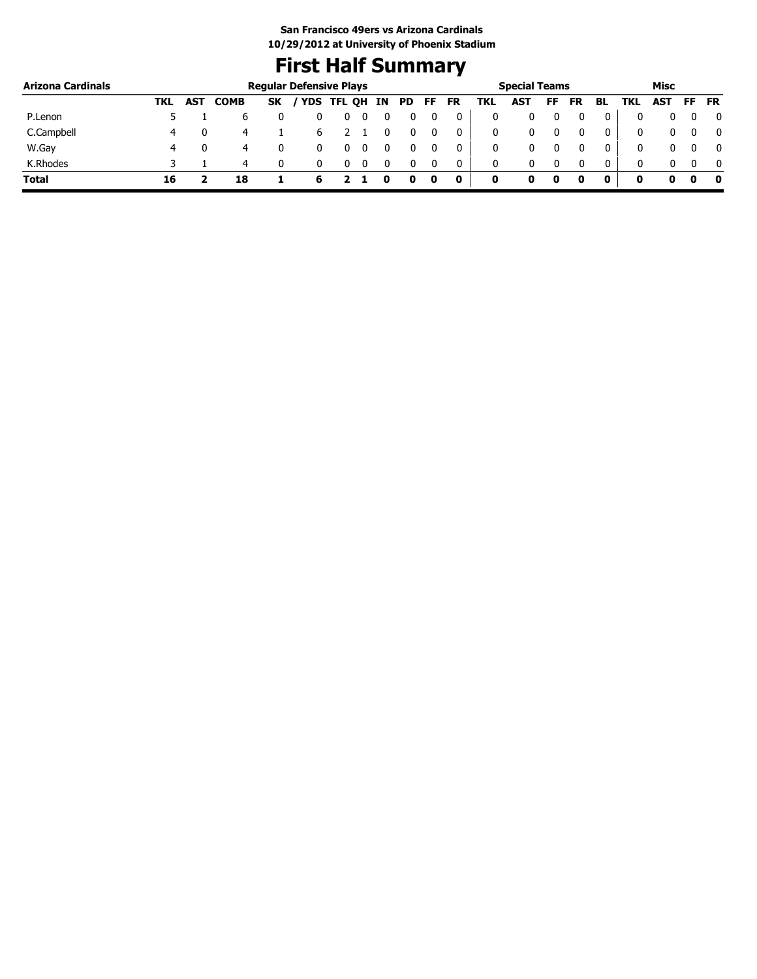# **First Half Summary**

| <b>Arizona Cardinals</b> |     |            |             |           | <b>Regular Defensive Plays</b> |                     |  |  |           |     | <b>Special Teams</b> |     |           |     |      | Misc |     |           |
|--------------------------|-----|------------|-------------|-----------|--------------------------------|---------------------|--|--|-----------|-----|----------------------|-----|-----------|-----|------|------|-----|-----------|
|                          | TKL | <b>AST</b> | <b>COMB</b> | <b>SK</b> |                                | YDS TFL QH IN PD FF |  |  | <b>FR</b> | TKL | AST                  | FF. | <b>FR</b> | BL. | TKL. | AST  | FF. | <b>FR</b> |
| P.Lenon                  |     |            | b           |           |                                | U                   |  |  | 0         | 0   |                      |     |           | 0   |      |      |     | 0         |
| C.Campbell               | 4   |            | 4           |           | b                              |                     |  |  | 0         | 0   |                      |     | 0         | 0   |      |      |     |           |
| W.Gay                    |     |            | 4           |           |                                |                     |  |  | 0         | 0   |                      |     |           | 0   |      |      |     | 0         |
| K.Rhodes                 |     |            | 4           |           |                                |                     |  |  | 0         | 0   |                      |     |           | 0   |      |      |     | - 0       |
| <b>Total</b>             | 16  |            | 18          |           | 6                              |                     |  |  | 0         | 0   | o                    | 0   |           |     |      | 0    |     | 0         |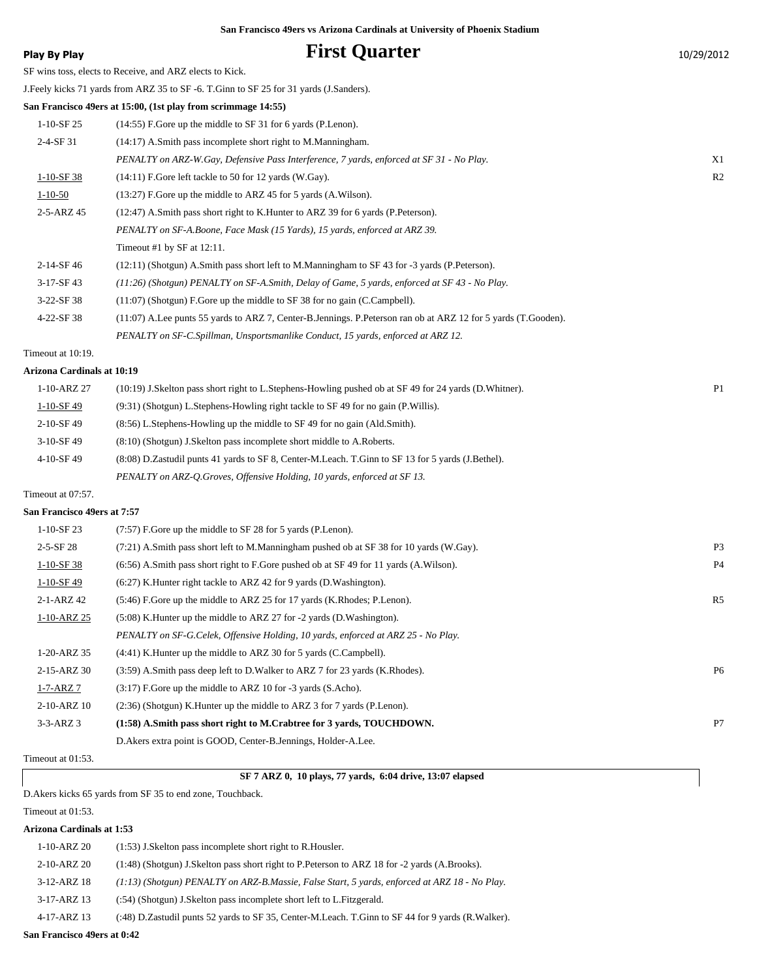# **Play By Play Play Play Play By Play First Quarter** 10/29/2012

SF wins toss, elects to Receive, and ARZ elects to Kick.

J.Feely kicks 71 yards from ARZ 35 to SF -6. T.Ginn to SF 25 for 31 yards (J.Sanders).

**San Francisco 49ers at 15:00, (1st play from scrimmage 14:55)**

| $1-10-SF25$   | (14:55) F.Gore up the middle to SF 31 for 6 yards (P.Lenon).                                                  |                |
|---------------|---------------------------------------------------------------------------------------------------------------|----------------|
| $2-4-SF31$    | (14:17) A.Smith pass incomplete short right to M.Manningham.                                                  |                |
|               | PENALTY on ARZ-W.Gay, Defensive Pass Interference, 7 yards, enforced at SF 31 - No Play.                      | X1             |
| $1-10-SF$ 38  | (14:11) F.Gore left tackle to 50 for 12 yards (W.Gay).                                                        | R <sub>2</sub> |
| $1 - 10 - 50$ | (13:27) F.Gore up the middle to ARZ 45 for 5 yards (A.Wilson).                                                |                |
| 2-5-ARZ 45    | (12:47) A.Smith pass short right to K.Hunter to ARZ 39 for 6 yards (P.Peterson).                              |                |
|               | PENALTY on SF-A.Boone, Face Mask (15 Yards), 15 yards, enforced at ARZ 39.                                    |                |
|               | Timeout #1 by $SF$ at 12:11.                                                                                  |                |
| 2-14-SF 46    | $(12:11)$ (Shotgun) A.Smith pass short left to M.Manningham to SF 43 for -3 yards (P.Peterson).               |                |
| $3-17-SF43$   | $(11:26)$ (Shotgun) PENALTY on SF-A.Smith, Delay of Game, 5 yards, enforced at SF 43 - No Play.               |                |
| $3-22-SF38$   | $(11:07)$ (Shotgun) F. Gore up the middle to SF 38 for no gain (C. Campbell).                                 |                |
| 4-22-SF 38    | (11:07) A.Lee punts 55 yards to ARZ 7, Center-B.Jennings. P.Peterson ran ob at ARZ 12 for 5 yards (T.Gooden). |                |
|               | PENALTY on SF-C.Spillman, Unsportsmanlike Conduct, 15 yards, enforced at ARZ 12.                              |                |

Timeout at 10:19.

#### **Arizona Cardinals at 10:19**

| $1 - 10 - ARZ$ 27 | (10:19) J.Skelton pass short right to L.Stephens-Howling pushed ob at SF 49 for 24 yards (D.Whitner). | P <sub>1</sub> |
|-------------------|-------------------------------------------------------------------------------------------------------|----------------|
| $1-10-SF$ 49      | (9:31) (Shotgun) L.Stephens-Howling right tackle to SF 49 for no gain (P.Willis).                     |                |
| $2-10-$ SF 49     | $(8.56)$ L.Stephens-Howling up the middle to SF 49 for no gain (Ald.Smith).                           |                |
| $3-10-$ SF 49     | $(8:10)$ (Shotgun) J.Skelton pass incomplete short middle to A.Roberts.                               |                |
| 4-10-SF49         | (8.08) D.Zastudil punts 41 yards to SF 8, Center-M.Leach. T.Ginn to SF 13 for 5 yards (J.Bethel).     |                |
|                   | PENALTY on ARZ-O.Groves, Offensive Holding, 10 yards, enforced at SF 13.                              |                |
|                   |                                                                                                       |                |

### Timeout at 07:57.

### **San Francisco 49ers at 7:57**

| $1-10-SF$ 23    | $(7:57)$ F.Gore up the middle to SF 28 for 5 yards (P.Lenon).                             |                |
|-----------------|-------------------------------------------------------------------------------------------|----------------|
| $2 - 5 - SF$ 28 | $(7:21)$ A.Smith pass short left to M.Manningham pushed ob at SF 38 for 10 yards (W.Gay). | P <sub>3</sub> |
| $1-10-SF$ 38    | $(6.56)$ A.Smith pass short right to F.Gore pushed ob at SF 49 for 11 yards (A.Wilson).   | <b>P4</b>      |
| $1-10-SF49$     | $(6:27)$ K. Hunter right tackle to ARZ 42 for 9 yards (D. Washington).                    |                |
| 2-1-ARZ 42      | (5:46) F. Gore up the middle to ARZ 25 for 17 yards (K. Rhodes; P. Lenon).                | R5             |
| 1-10-ARZ 25     | $(5:08)$ K. Hunter up the middle to ARZ 27 for -2 yards (D. Washington).                  |                |
|                 | PENALTY on SF-G.Celek, Offensive Holding, 10 yards, enforced at ARZ 25 - No Play.         |                |
| 1-20-ARZ 35     | (4:41) K. Hunter up the middle to ARZ 30 for 5 yards (C. Campbell).                       |                |
| 2-15-ARZ 30     | (3:59) A.Smith pass deep left to D.Walker to ARZ 7 for 23 yards (K.Rhodes).               | <b>P6</b>      |
| $1 - 7 - ARZ$ 7 | $(3.17)$ F.Gore up the middle to ARZ 10 for -3 yards $(S.Acho)$ .                         |                |
| 2-10-ARZ 10     | (2:36) (Shotgun) K. Hunter up the middle to ARZ 3 for 7 yards (P. Lenon).                 |                |
| $3-3-ARZ$ 3     | (1:58) A.Smith pass short right to M.Crabtree for 3 yards, TOUCHDOWN.                     | P7             |
|                 | D. Akers extra point is GOOD, Center-B. Jennings, Holder-A. Lee.                          |                |

#### Timeout at 01:53.

#### **SF 7 ARZ 0, 10 plays, 77 yards, 6:04 drive, 13:07 elapsed**

D.Akers kicks 65 yards from SF 35 to end zone, Touchback.

#### Timeout at 01:53.

### **Arizona Cardinals at 1:53**

| $1 - 10 - ARZ 20$ | (1:53) J.Skelton pass incomplete short right to R.Housler.                                        |
|-------------------|---------------------------------------------------------------------------------------------------|
| 2-10-ARZ 20       | (1:48) (Shotgun) J.Skelton pass short right to P.Peterson to ARZ 18 for -2 yards (A.Brooks).      |
| $3-12-ARZ$ 18     | $(1.13)$ (Shotgun) PENALTY on ARZ-B.Massie, False Start, 5 yards, enforced at ARZ 18 - No Play.   |
| 3-17-ARZ 13       | (:54) (Shotgun) J.Skelton pass incomplete short left to L.Fitzgerald.                             |
| 4-17-ARZ 13       | (:48) D.Zastudil punts 52 yards to SF 35, Center-M.Leach. T.Ginn to SF 44 for 9 yards (R.Walker). |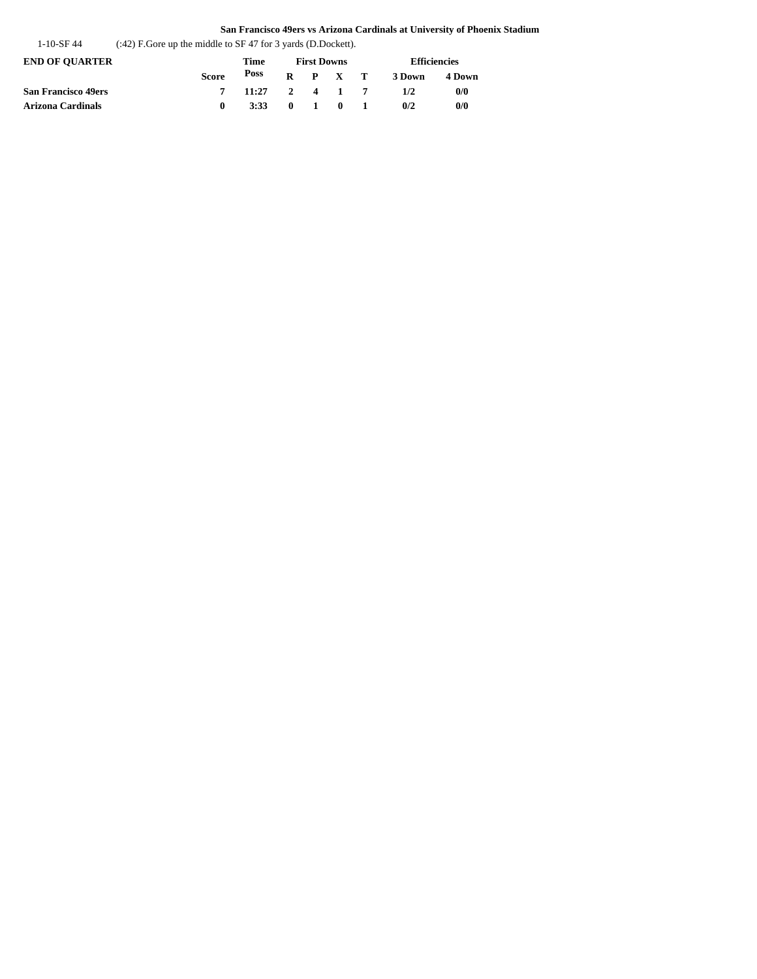| $(242)$ F. Gore up the middle to SF 47 for 3 yards (D. Dockett).<br>1-10-SF 44 |  |
|--------------------------------------------------------------------------------|--|
|--------------------------------------------------------------------------------|--|

| END OF OUARTER      |       | Time            | <b>First Downs</b> |  |                 |  | <b>Efficiencies</b> |        |
|---------------------|-------|-----------------|--------------------|--|-----------------|--|---------------------|--------|
|                     | Score | Poss            |                    |  | $R$ $P$ $X$ $T$ |  | 3 Down              | 4 Down |
| San Francisco 49ers |       | $11:27$ 2 4 1 7 |                    |  |                 |  | 1/2                 | 0/0    |
| Arizona Cardinals   |       | 3:33 0 1 0 1    |                    |  |                 |  | 0/2                 | 0/0    |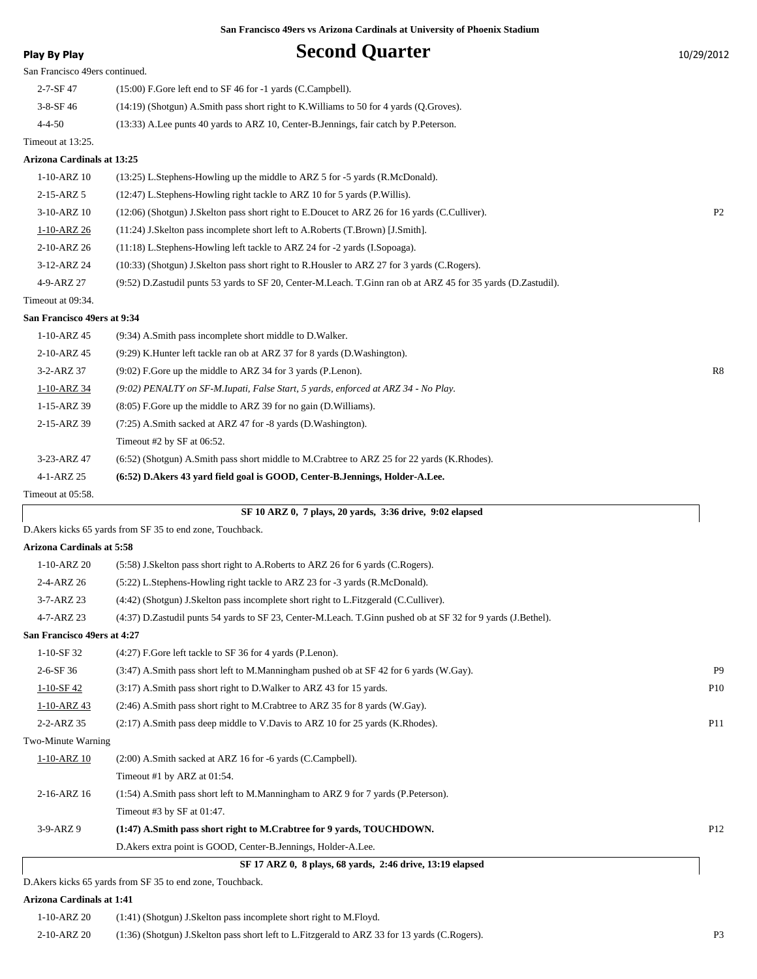# **Play By Play Play Play Play Second Quarter** 10/29/2012

| San Francisco 49ers continued. |                                                                                           |  |  |  |  |  |  |  |  |
|--------------------------------|-------------------------------------------------------------------------------------------|--|--|--|--|--|--|--|--|
| $2 - 7 - SF$ 47                | $(15:00)$ F.Gore left end to SF 46 for -1 yards (C.Campbell).                             |  |  |  |  |  |  |  |  |
| $3-8-SF$ 46                    | $(14:19)$ (Shotgun) A.Smith pass short right to K. Williams to 50 for 4 yards (O.Groves). |  |  |  |  |  |  |  |  |
| $4 - 4 - 50$                   | (13:33) A.Lee punts 40 yards to ARZ 10, Center-B.Jennings, fair catch by P.Peterson.      |  |  |  |  |  |  |  |  |
| Timeout at 13:25.              |                                                                                           |  |  |  |  |  |  |  |  |
|                                |                                                                                           |  |  |  |  |  |  |  |  |

#### **Arizona Cardinals at 13:25**

| 1-10-ARZ 10       | $(13:25)$ L.Stephens-Howling up the middle to ARZ 5 for -5 yards $(R.McDonald)$ .                             |                |
|-------------------|---------------------------------------------------------------------------------------------------------------|----------------|
| $2-15-ARZ$ 5      | $(12:47)$ L. Stephens-Howling right tackle to ARZ 10 for 5 yards (P. Willis).                                 |                |
| 3-10-ARZ 10       | (12:06) (Shotgun) J.Skelton pass short right to E.Doucet to ARZ 26 for 16 yards (C.Culliver).                 | P <sub>2</sub> |
| 1-10-ARZ 26       | $(11:24)$ J. Skelton pass incomplete short left to A. Roberts $(T.Brown)$ [J. Smith].                         |                |
| 2-10-ARZ 26       | $(11:18)$ L. Stephens-Howling left tackle to ARZ 24 for $-2$ yards (I. Sopoaga).                              |                |
| 3-12-ARZ 24       | (10:33) (Shotgun) J.Skelton pass short right to R.Housler to ARZ 27 for 3 yards (C.Rogers).                   |                |
| 4-9-ARZ 27        | (9.52) D.Zastudil punts 53 yards to SF 20, Center-M.Leach. T.Ginn ran ob at ARZ 45 for 35 yards (D.Zastudil). |                |
| Timeout at 09:34. |                                                                                                               |                |

#### **San Francisco 49ers at 9:34**

| $1 - 10 - ARZ$ 45 | (9:34) A.Smith pass incomplete short middle to D.Walker.                                    |    |
|-------------------|---------------------------------------------------------------------------------------------|----|
| 2-10-ARZ 45       | $(9:29)$ K. Hunter left tackle ran ob at ARZ 37 for 8 yards (D. Washington).                |    |
| 3-2-ARZ 37        | $(9:02)$ F.Gore up the middle to ARZ 34 for 3 yards (P.Lenon).                              | R8 |
| 1-10-ARZ 34       | (9:02) PENALTY on SF-M.Iupati, False Start, 5 yards, enforced at ARZ 34 - No Play.          |    |
| $1-15-ARZ$ 39     | $(8.05)$ F. Gore up the middle to ARZ 39 for no gain (D. Williams).                         |    |
| 2-15-ARZ 39       | (7:25) A.Smith sacked at ARZ 47 for -8 yards (D.Washington).                                |    |
|                   | Timeout #2 by SF at $06:52$ .                                                               |    |
| 3-23-ARZ 47       | (6.52) (Shotgun) A.Smith pass short middle to M.Crabtree to ARZ 25 for 22 yards (K.Rhodes). |    |
| 4-1-ARZ 25        | (6:52) D. Akers 43 yard field goal is GOOD, Center-B. Jennings, Holder-A. Lee.              |    |
| Timeout at 05:58. |                                                                                             |    |

D.Akers kicks 65 yards from SF 35 to end zone, Touchback.

### **Arizona Cardinals at 5:58**

|                             | SF 17 ARZ 0, 8 plays, 68 yards, 2:46 drive, 13:19 elapsed<br>$\sim$ $\sim$ $\sim$ $\sim$                     |                 |  |  |  |  |  |  |
|-----------------------------|--------------------------------------------------------------------------------------------------------------|-----------------|--|--|--|--|--|--|
|                             | D. Akers extra point is GOOD, Center-B. Jennings, Holder-A. Lee.                                             |                 |  |  |  |  |  |  |
| $3-9-ARZ9$                  | (1:47) A.Smith pass short right to M.Crabtree for 9 yards, TOUCHDOWN.                                        | P <sub>12</sub> |  |  |  |  |  |  |
|                             | Timeout #3 by SF at 01:47.                                                                                   |                 |  |  |  |  |  |  |
| 2-16-ARZ 16                 | (1:54) A.Smith pass short left to M.Manningham to ARZ 9 for 7 yards (P.Peterson).                            |                 |  |  |  |  |  |  |
|                             | Timeout #1 by ARZ at $01:54$ .                                                                               |                 |  |  |  |  |  |  |
| $1 - 10 - ARZ$ 10           | (2:00) A.Smith sacked at ARZ 16 for -6 yards (C.Campbell).                                                   |                 |  |  |  |  |  |  |
| Two-Minute Warning          |                                                                                                              |                 |  |  |  |  |  |  |
| 2-2-ARZ 35                  | $(2.17)$ A.Smith pass deep middle to V.Davis to ARZ 10 for 25 yards (K.Rhodes).                              | <b>P11</b>      |  |  |  |  |  |  |
| $1 - 10 - ARZ$ 43           | (2.46) A.Smith pass short right to M.Crabtree to ARZ 35 for 8 yards (W.Gay).                                 |                 |  |  |  |  |  |  |
| $1-10-SF42$                 | (3:17) A.Smith pass short right to D.Walker to ARZ 43 for 15 yards.                                          | <b>P10</b>      |  |  |  |  |  |  |
| $2-6-SF36$                  | $(3.47)$ A.Smith pass short left to M.Manningham pushed ob at SF 42 for 6 yards (W.Gay).                     | P <sub>9</sub>  |  |  |  |  |  |  |
| $1-10-SF32$                 | (4:27) F.Gore left tackle to SF 36 for 4 yards (P.Lenon).                                                    |                 |  |  |  |  |  |  |
| San Francisco 49ers at 4:27 |                                                                                                              |                 |  |  |  |  |  |  |
| 4-7-ARZ 23                  | (4:37) D.Zastudil punts 54 yards to SF 23, Center-M.Leach. T.Ginn pushed ob at SF 32 for 9 yards (J.Bethel). |                 |  |  |  |  |  |  |
| 3-7-ARZ 23                  | (4:42) (Shotgun) J.Skelton pass incomplete short right to L.Fitzgerald (C.Culliver).                         |                 |  |  |  |  |  |  |
| 2-4-ARZ 26                  | (5:22) L.Stephens-Howling right tackle to ARZ 23 for -3 yards (R.McDonald).                                  |                 |  |  |  |  |  |  |
| 1-10-ARZ 20                 | (5:58) J.Skelton pass short right to A.Roberts to ARZ 26 for 6 yards (C.Rogers).                             |                 |  |  |  |  |  |  |
|                             |                                                                                                              |                 |  |  |  |  |  |  |

D.Akers kicks 65 yards from SF 35 to end zone, Touchback.

#### **Arizona Cardinals at 1:41**

1-10-ARZ 20 (1:41) (Shotgun) J.Skelton pass incomplete short right to M.Floyd. 2-10-ARZ 20 (1:36) (Shotgun) J.Skelton pass short left to L.Fitzgerald to ARZ 33 for 13 yards (C.Rogers). P3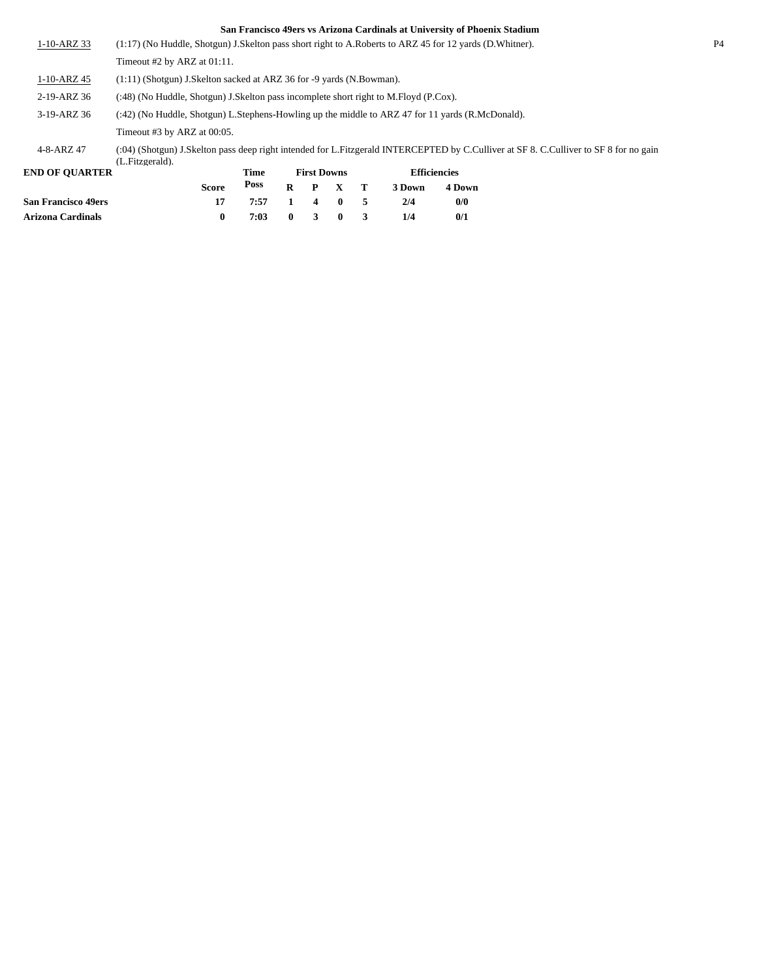| <b>San Francisco 49ers</b> |                                                                                        | 17           | 7:57 |   | 4                  | $\mathbf{0}$ | 5 | 2/4    | 0/0                                                                                                                                   |                |
|----------------------------|----------------------------------------------------------------------------------------|--------------|------|---|--------------------|--------------|---|--------|---------------------------------------------------------------------------------------------------------------------------------------|----------------|
|                            |                                                                                        | <b>Score</b> | Poss | R | P                  | X            | т | 3 Down | 4 Down                                                                                                                                |                |
| <b>END OF OUARTER</b>      |                                                                                        |              | Time |   | <b>First Downs</b> |              |   |        | <b>Efficiencies</b>                                                                                                                   |                |
| 4-8-ARZ 47                 | (L.Fitzgerald).                                                                        |              |      |   |                    |              |   |        | (:04) (Shotgun) J.Skelton pass deep right intended for L.Fitzgerald INTERCEPTED by C.Culliver at SF 8. C.Culliver to SF 8 for no gain |                |
|                            | Timeout #3 by ARZ at 00:05.                                                            |              |      |   |                    |              |   |        |                                                                                                                                       |                |
| 3-19-ARZ 36                |                                                                                        |              |      |   |                    |              |   |        | (:42) (No Huddle, Shotgun) L.Stephens-Howling up the middle to ARZ 47 for 11 yards (R.McDonald).                                      |                |
| 2-19-ARZ 36                | (:48) (No Huddle, Shotgun) J. Skelton pass incomplete short right to M. Floyd (P.Cox). |              |      |   |                    |              |   |        |                                                                                                                                       |                |
| $1 - 10 - ARZ$ 45          | $(1:11)$ (Shotgun) J.Skelton sacked at ARZ 36 for -9 yards (N.Bowman).                 |              |      |   |                    |              |   |        |                                                                                                                                       |                |
|                            | Timeout #2 by ARZ at $01:11$ .                                                         |              |      |   |                    |              |   |        |                                                                                                                                       |                |
| $1-10-ARZ$ 33              |                                                                                        |              |      |   |                    |              |   |        | (1:17) (No Huddle, Shotgun) J.Skelton pass short right to A.Roberts to ARZ 45 for 12 yards (D.Whitner).                               | P <sub>4</sub> |

**Arizona Cardinals 0 7:03 0 3 0 3 1/4 0/1**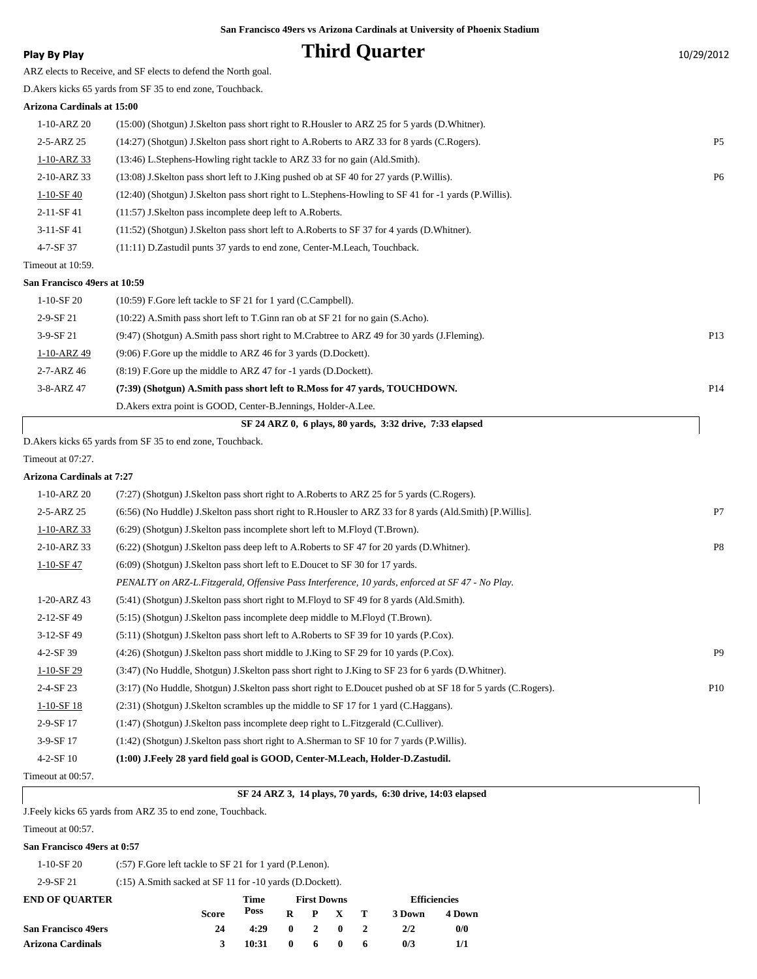# **Play By Play Play Play Play Play By Play Play By Play Play By Play Play Play Play Play Play Play Play Play Play Play Play Play Play Play Play Play Play Play Play Play**

ARZ elects to Receive, and SF elects to defend the North goal. D.Akers kicks 65 yards from SF 35 to end zone, Touchback. **Arizona Cardinals at 15:00** 1-10-ARZ 20 (15:00) (Shotgun) J.Skelton pass short right to R.Housler to ARZ 25 for 5 yards (D.Whitner). 2-5-ARZ 25 (14:27) (Shotgun) J.Skelton pass short right to A.Roberts to ARZ 33 for 8 yards (C.Rogers). P5

1-10-ARZ 33 (13:46) L.Stephens-Howling right tackle to ARZ 33 for no gain (Ald.Smith). 2-10-ARZ 33 (13:08) J.Skelton pass short left to J.King pushed ob at SF 40 for 27 yards (P.Willis). P6 1-10-SF 40 (12:40) (Shotgun) J.Skelton pass short right to L.Stephens-Howling to SF 41 for -1 yards (P.Willis). 2-11-SF 41 (11:57) J.Skelton pass incomplete deep left to A.Roberts. 3-11-SF 41 (11:52) (Shotgun) J.Skelton pass short left to A.Roberts to SF 37 for 4 yards (D.Whitner). 4-7-SF 37 (11:11) D.Zastudil punts 37 yards to end zone, Center-M.Leach, Touchback.

## Timeout at 10:59.

#### **San Francisco 49ers at 10:59**

| SF 24 ARZ 0, 6 plays, 80 vards, 3:32 drive, 7:33 elapsed |                                                                                             |                 |  |  |  |  |  |  |
|----------------------------------------------------------|---------------------------------------------------------------------------------------------|-----------------|--|--|--|--|--|--|
|                                                          | D. Akers extra point is GOOD, Center-B. Jennings, Holder-A. Lee.                            |                 |  |  |  |  |  |  |
| 3-8-ARZ 47                                               | (7:39) (Shotgun) A.Smith pass short left to R.Moss for 47 vards, TOUCHDOWN.                 | P <sub>14</sub> |  |  |  |  |  |  |
| 2-7-ARZ 46                                               | $(8.19)$ F. Gore up the middle to ARZ 47 for $-1$ vards (D. Dockett).                       |                 |  |  |  |  |  |  |
| 1-10-ARZ 49                                              | (9:06) F.Gore up the middle to ARZ 46 for 3 yards (D.Dockett).                              |                 |  |  |  |  |  |  |
| $3-9-SF$ 21                                              | (9:47) (Shotgun) A.Smith pass short right to M.Crabtree to ARZ 49 for 30 yards (J.Fleming). | P <sub>13</sub> |  |  |  |  |  |  |
| $2-9-SF$ 21                                              | $(10:22)$ A.Smith pass short left to T.Ginn ran ob at SF 21 for no gain (S.Acho).           |                 |  |  |  |  |  |  |
| 1-10-SF 20                                               | $(10:59)$ F.Gore left tackle to SF 21 for 1 yard (C.Campbell).                              |                 |  |  |  |  |  |  |
|                                                          |                                                                                             |                 |  |  |  |  |  |  |

D.Akers kicks 65 yards from SF 35 to end zone, Touchback.

Timeout at 07:27.

### **Arizona Cardinals at 7:27**

| 1-10-ARZ 20       | (7:27) (Shotgun) J.Skelton pass short right to A.Roberts to ARZ 25 for 5 yards (C.Rogers).                    |                |
|-------------------|---------------------------------------------------------------------------------------------------------------|----------------|
| 2-5-ARZ 25        | (6:56) (No Huddle) J.Skelton pass short right to R.Housler to ARZ 33 for 8 yards (Ald.Smith) [P.Willis].      | P7             |
| 1-10-ARZ 33       | (6:29) (Shotgun) J. Skelton pass incomplete short left to M. Floyd (T. Brown).                                |                |
| 2-10-ARZ 33       | (6:22) (Shotgun) J.Skelton pass deep left to A.Roberts to SF 47 for 20 yards (D.Whitner).                     | P <sub>8</sub> |
| $1-10-SF$ 47      | (6:09) (Shotgun) J. Skelton pass short left to E. Doucet to SF 30 for 17 yards.                               |                |
|                   | PENALTY on ARZ-L.Fitzgerald, Offensive Pass Interference, 10 yards, enforced at SF 47 - No Play.              |                |
| 1-20-ARZ 43       | (5:41) (Shotgun) J.Skelton pass short right to M.Floyd to SF 49 for 8 yards (Ald.Smith).                      |                |
| 2-12-SF 49        | (5.15) (Shotgun) J.Skelton pass incomplete deep middle to M.Floyd (T.Brown).                                  |                |
| $3-12-SF49$       | $(5:11)$ (Shotgun) J.Skelton pass short left to A.Roberts to SF 39 for 10 yards (P.Cox).                      |                |
| $4 - 2 - SF$ 39   | (4:26) (Shotgun) J.Skelton pass short middle to J.King to SF 29 for 10 yards (P.Cox).                         | P <sub>9</sub> |
| $1-10-SF29$       | (3:47) (No Huddle, Shotgun) J.Skelton pass short right to J.King to SF 23 for 6 yards (D.Whitner).            |                |
| $2-4-SF23$        | (3:17) (No Huddle, Shotgun) J.Skelton pass short right to E.Doucet pushed ob at SF 18 for 5 yards (C.Rogers). | P10            |
| $1-10-SF$ 18      | $(2:31)$ (Shotgun) J.Skelton scrambles up the middle to SF 17 for 1 yard (C.Haggans).                         |                |
| 2-9-SF 17         | (1:47) (Shotgun) J.Skelton pass incomplete deep right to L.Fitzgerald (C.Culliver).                           |                |
| 3-9-SF 17         | $(1:42)$ (Shotgun) J.Skelton pass short right to A.Sherman to SF 10 for 7 yards (P.Willis).                   |                |
| $4-2-SF10$        | (1:00) J.Feely 28 yard field goal is GOOD, Center-M.Leach, Holder-D.Zastudil.                                 |                |
| Timeout at 00:57. |                                                                                                               |                |

### **SF 24 ARZ 3, 14 plays, 70 yards, 6:30 drive, 14:03 elapsed**

J.Feely kicks 65 yards from ARZ 35 to end zone, Touchback.

Timeout at 00:57.

#### **San Francisco 49ers at 0:57**

| 1-10-SF 20<br>$(.57)$ F.Gore left tackle to SF 21 for 1 yard (P.Lenon). |
|-------------------------------------------------------------------------|
|-------------------------------------------------------------------------|

2-9-SF 21 (:15) A.Smith sacked at SF 11 for -10 yards (D.Dockett).

| <b>END OF OUARTER</b>      |       | Time  |              |           | <b>First Downs</b> |    | <b>Efficiencies</b> |        |  |
|----------------------------|-------|-------|--------------|-----------|--------------------|----|---------------------|--------|--|
|                            | Score | Poss  |              |           | $R$ $P$ $X$ $T$    |    | 3 Down              | 4 Down |  |
| <b>San Francisco 49ers</b> | 24    | 4:29  | $\mathbf{0}$ |           | 2 0                |    | 2/2                 | 0/0    |  |
| <b>Arizona Cardinals</b>   |       | 10:31 | $\mathbf{0}$ | $6\qquad$ |                    | -6 | 0/3                 | 1/1    |  |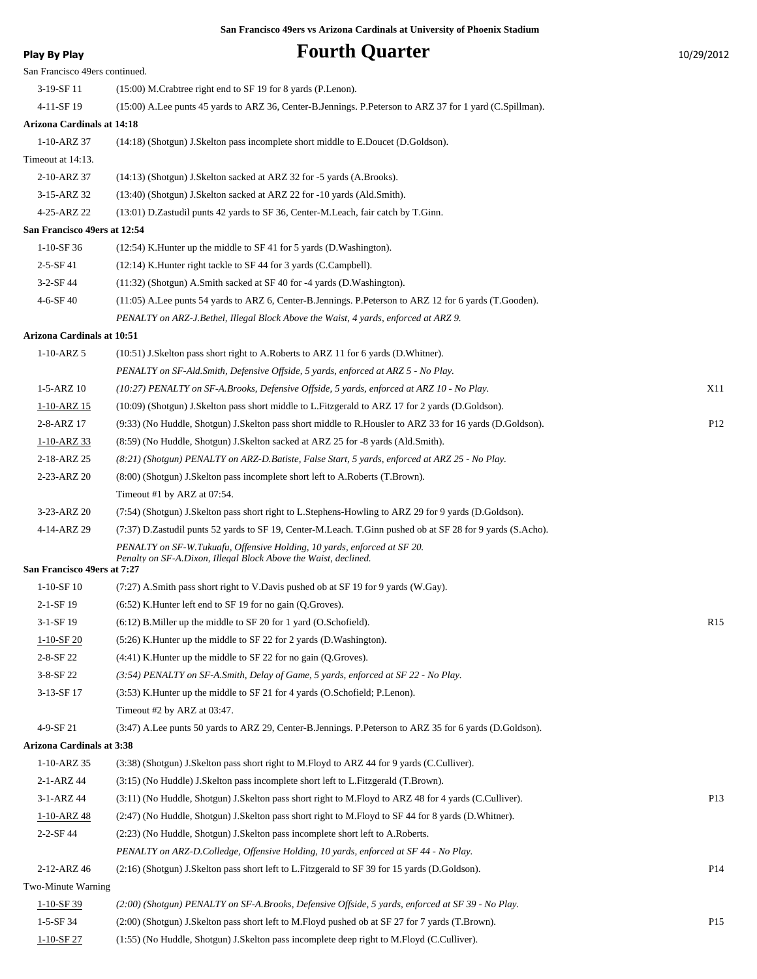# **Play By Play Play Play Play Play By Play Fourth Quarter** 10/29/2012

| San Francisco 49ers continued.    |                                                                                                                                             |                 |
|-----------------------------------|---------------------------------------------------------------------------------------------------------------------------------------------|-----------------|
| 3-19-SF 11                        | $(15:00)$ M.Crabtree right end to SF 19 for 8 yards (P.Lenon).                                                                              |                 |
| 4-11-SF 19                        | (15:00) A.Lee punts 45 yards to ARZ 36, Center-B.Jennings. P.Peterson to ARZ 37 for 1 yard (C.Spillman).                                    |                 |
| <b>Arizona Cardinals at 14:18</b> |                                                                                                                                             |                 |
| 1-10-ARZ 37                       | (14:18) (Shotgun) J.Skelton pass incomplete short middle to E.Doucet (D.Goldson).                                                           |                 |
| Timeout at 14:13.                 |                                                                                                                                             |                 |
| 2-10-ARZ 37                       | $(14:13)$ (Shotgun) J.Skelton sacked at ARZ 32 for -5 yards (A.Brooks).                                                                     |                 |
| 3-15-ARZ 32                       | (13:40) (Shotgun) J.Skelton sacked at ARZ 22 for -10 yards (Ald.Smith).                                                                     |                 |
| 4-25-ARZ 22                       | (13:01) D.Zastudil punts 42 yards to SF 36, Center-M.Leach, fair catch by T.Ginn.                                                           |                 |
| San Francisco 49ers at 12:54      |                                                                                                                                             |                 |
| $1-10-SF$ 36                      | $(12:54)$ K. Hunter up the middle to SF 41 for 5 yards (D. Washington).                                                                     |                 |
| $2 - 5 - SF 41$                   | (12:14) K.Hunter right tackle to SF 44 for 3 yards (C.Campbell).                                                                            |                 |
| $3-2-SF44$                        | $(11:32)$ (Shotgun) A.Smith sacked at SF 40 for -4 yards (D.Washington).                                                                    |                 |
| 4-6-SF 40                         | (11:05) A.Lee punts 54 yards to ARZ 6, Center-B.Jennings. P.Peterson to ARZ 12 for 6 yards (T.Gooden).                                      |                 |
|                                   | PENALTY on ARZ-J.Bethel, Illegal Block Above the Waist, 4 yards, enforced at ARZ 9.                                                         |                 |
| Arizona Cardinals at 10:51        |                                                                                                                                             |                 |
| $1 - 10 - ARZ$ 5                  | (10:51) J.Skelton pass short right to A.Roberts to ARZ 11 for 6 yards (D.Whitner).                                                          |                 |
|                                   | PENALTY on SF-Ald. Smith, Defensive Offside, 5 yards, enforced at ARZ 5 - No Play.                                                          |                 |
| $1 - 5 - ARZ$ 10                  | (10:27) PENALTY on SF-A.Brooks, Defensive Offside, 5 yards, enforced at ARZ 10 - No Play.                                                   | X11             |
| 1-10-ARZ 15                       | (10:09) (Shotgun) J.Skelton pass short middle to L.Fitzgerald to ARZ 17 for 2 yards (D.Goldson).                                            |                 |
| 2-8-ARZ 17                        | (9:33) (No Huddle, Shotgun) J.Skelton pass short middle to R.Housler to ARZ 33 for 16 yards (D.Goldson).                                    | P <sub>12</sub> |
| $1 - 10 - ARZ$ 33                 | (8.59) (No Huddle, Shotgun) J. Skelton sacked at ARZ 25 for -8 yards (Ald. Smith).                                                          |                 |
| 2-18-ARZ 25                       | (8:21) (Shotgun) PENALTY on ARZ-D.Batiste, False Start, 5 yards, enforced at ARZ 25 - No Play.                                              |                 |
| 2-23-ARZ 20                       | (8:00) (Shotgun) J.Skelton pass incomplete short left to A.Roberts (T.Brown).                                                               |                 |
|                                   | Timeout #1 by ARZ at 07:54.                                                                                                                 |                 |
| 3-23-ARZ 20                       | (7:54) (Shotgun) J.Skelton pass short right to L.Stephens-Howling to ARZ 29 for 9 yards (D.Goldson).                                        |                 |
| 4-14-ARZ 29                       | (7:37) D.Zastudil punts 52 yards to SF 19, Center-M.Leach. T.Ginn pushed ob at SF 28 for 9 yards (S.Acho).                                  |                 |
| San Francisco 49ers at 7:27       | PENALTY on SF-W.Tukuafu, Offensive Holding, 10 yards, enforced at SF 20.<br>Penalty on SF-A.Dixon, Illegal Block Above the Waist, declined. |                 |
| $1-10-SF$ 10                      | (7:27) A.Smith pass short right to V.Davis pushed ob at SF 19 for 9 yards (W.Gay).                                                          |                 |
| $2-1-SF19$                        | (6:52) K.Hunter left end to SF 19 for no gain (Q.Groves).                                                                                   |                 |
| 3-1-SF 19                         | (6:12) B. Miller up the middle to SF 20 for 1 yard (O. Schofield).                                                                          | R <sub>15</sub> |
| $1 - 10 - SF$ 20                  | (5:26) K. Hunter up the middle to SF 22 for 2 yards (D. Washington).                                                                        |                 |
| 2-8-SF 22                         | $(4:41)$ K. Hunter up the middle to SF 22 for no gain $(Q.Groves)$ .                                                                        |                 |
| $3-8-SF$ 22                       | $(3.54)$ PENALTY on SF-A.Smith, Delay of Game, 5 yards, enforced at SF 22 - No Play.                                                        |                 |
| 3-13-SF 17                        | (3:53) K. Hunter up the middle to SF 21 for 4 yards (O. Schofield; P. Lenon).                                                               |                 |
|                                   | Timeout #2 by ARZ at 03:47.                                                                                                                 |                 |
| 4-9-SF 21                         | (3:47) A.Lee punts 50 yards to ARZ 29, Center-B.Jennings. P.Peterson to ARZ 35 for 6 yards (D.Goldson).                                     |                 |
| <b>Arizona Cardinals at 3:38</b>  |                                                                                                                                             |                 |
| $1 - 10 - ARZ$ 35                 | (3:38) (Shotgun) J.Skelton pass short right to M.Floyd to ARZ 44 for 9 yards (C.Culliver).                                                  |                 |
| 2-1-ARZ 44                        | (3.15) (No Huddle) J.Skelton pass incomplete short left to L.Fitzgerald (T.Brown).                                                          |                 |
| 3-1-ARZ 44                        | (3:11) (No Huddle, Shotgun) J.Skelton pass short right to M.Floyd to ARZ 48 for 4 yards (C.Culliver).                                       | P13             |
| $1 - 10 - ARZ$ 48                 | (2:47) (No Huddle, Shotgun) J.Skelton pass short right to M.Floyd to SF 44 for 8 yards (D.Whitner).                                         |                 |
| 2-2-SF 44                         | (2:23) (No Huddle, Shotgun) J. Skelton pass incomplete short left to A. Roberts.                                                            |                 |
|                                   | PENALTY on ARZ-D.Colledge, Offensive Holding, 10 yards, enforced at SF 44 - No Play.                                                        |                 |
| 2-12-ARZ 46                       | (2:16) (Shotgun) J.Skelton pass short left to L.Fitzgerald to SF 39 for 15 yards (D.Goldson).                                               | P <sub>14</sub> |
| Two-Minute Warning                |                                                                                                                                             |                 |
| $1-10-SF$ 39                      | (2:00) (Shotgun) PENALTY on SF-A.Brooks, Defensive Offside, 5 yards, enforced at SF 39 - No Play.                                           |                 |
| 1-5-SF 34                         | (2:00) (Shotgun) J.Skelton pass short left to M.Floyd pushed ob at SF 27 for 7 yards (T.Brown).                                             | P <sub>15</sub> |
|                                   |                                                                                                                                             |                 |

1-10-SF 27 (1:55) (No Huddle, Shotgun) J.Skelton pass incomplete deep right to M.Floyd (C.Culliver).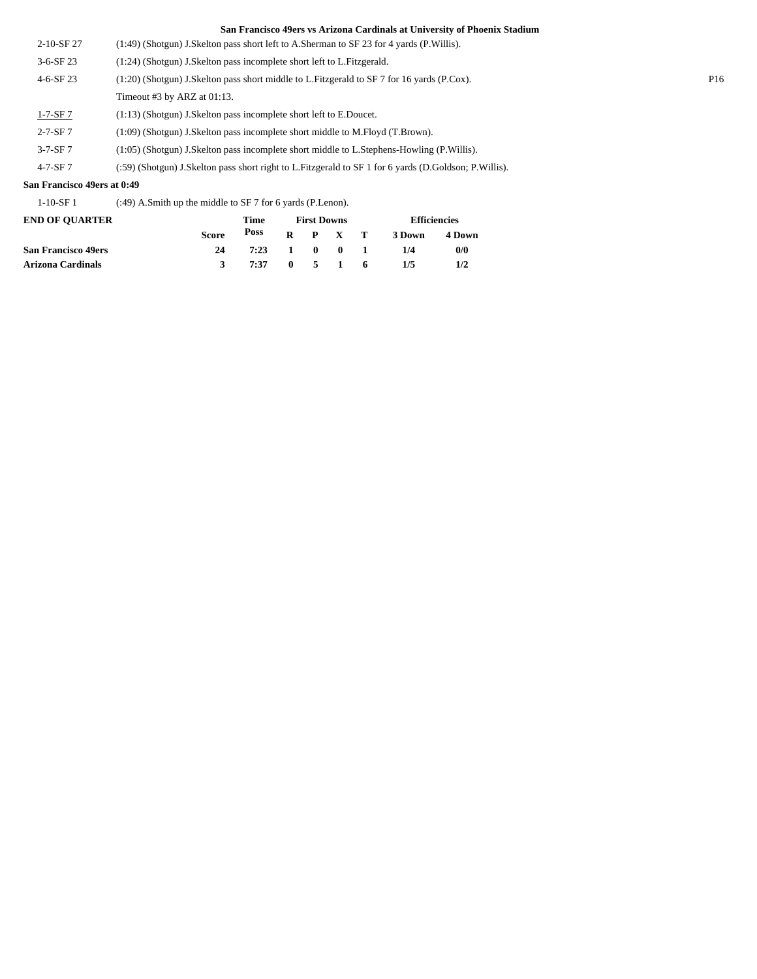- 2-10-SF 27 (1:49) (Shotgun) J.Skelton pass short left to A.Sherman to SF 23 for 4 yards (P.Willis).
- 3-6-SF 23 (1:24) (Shotgun) J.Skelton pass incomplete short left to L.Fitzgerald. 4-6-SF 23 (1:20) (Shotgun) J.Skelton pass short middle to L.Fitzgerald to SF 7 for 16 yards (P.Cox). P16

Timeout #3 by ARZ at 01:13.

- 1-7-SF 7 (1:13) (Shotgun) J.Skelton pass incomplete short left to E.Doucet.
- 2-7-SF 7 (1:09) (Shotgun) J.Skelton pass incomplete short middle to M.Floyd (T.Brown).
- 3-7-SF 7 (1:05) (Shotgun) J.Skelton pass incomplete short middle to L.Stephens-Howling (P.Willis).
- 4-7-SF 7 (:59) (Shotgun) J.Skelton pass short right to L.Fitzgerald to SF 1 for 6 yards (D.Goldson; P.Willis).

#### **San Francisco 49ers at 0:49**

1-10-SF 1 (:49) A.Smith up the middle to SF 7 for 6 yards (P.Lenon).

| <b>END OF OUARTER</b>      |       | Time         |  | <b>First Downs</b> | <b>Efficiencies</b> |        |  |  |
|----------------------------|-------|--------------|--|--------------------|---------------------|--------|--|--|
|                            | Score | Poss         |  | $R$ $P$ $X$ $T$    | 3 Down              | 4 Down |  |  |
| <b>San Francisco 49ers</b> | 24    | 7:23 1 0 0 1 |  |                    | 1/4                 | 0/0    |  |  |
| Arizona Cardinals          |       | 7:37 0 5 1 6 |  |                    | 1/5                 | 1/2    |  |  |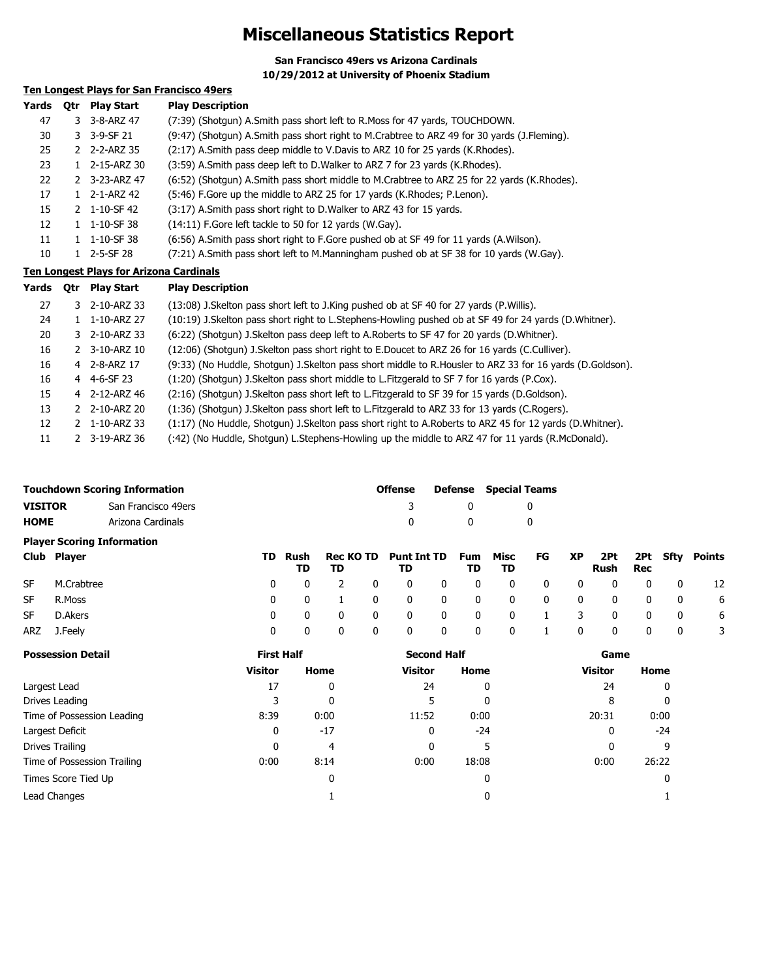# **Miscellaneous Statistics Report**

**San Francisco 49ers vs Arizona Cardinals 10/29/2012 at University of Phoenix Stadium**

# **Ten Longest Plays for San Francisco 49ers**

| <b>Otr</b> | <b>Play Start</b> | <b>Play Description</b>                                                                     |
|------------|-------------------|---------------------------------------------------------------------------------------------|
|            | 3-8-ARZ 47        | (7:39) (Shotgun) A.Smith pass short left to R.Moss for 47 yards, TOUCHDOWN.                 |
|            | 3-9-SF 21         | (9:47) (Shotgun) A.Smith pass short right to M.Crabtree to ARZ 49 for 30 yards (J.Fleming). |
|            |                   | (2:17) A.Smith pass deep middle to V.Davis to ARZ 10 for 25 yards (K.Rhodes).               |
|            | 2-15-ARZ 30       | (3:59) A.Smith pass deep left to D.Walker to ARZ 7 for 23 yards (K.Rhodes).                 |
|            |                   | (6:52) (Shotgun) A.Smith pass short middle to M.Crabtree to ARZ 25 for 22 yards (K.Rhodes). |
|            | 2-1-ARZ 42        | (5:46) F.Gore up the middle to ARZ 25 for 17 yards (K.Rhodes; P.Lenon).                     |
|            |                   | (3:17) A.Smith pass short right to D.Walker to ARZ 43 for 15 yards.                         |
|            | 1-10-SF 38        | (14:11) F. Gore left tackle to 50 for 12 yards (W. Gay).                                    |
|            | 1-10-SF 38        | (6:56) A.Smith pass short right to F.Gore pushed ob at SF 49 for 11 yards (A.Wilson).       |
|            | $2 - 5 - SF$ 28   | (7:21) A.Smith pass short left to M.Manningham pushed ob at SF 38 for 10 yards (W.Gay).     |
|            |                   | 3<br>3.<br>2 2-2-ARZ 35<br>2 3-23-ARZ 47<br>2 1-10-SF 42                                    |

### **Ten Longest Plays for Arizona Cardinals**

| Yards | <b>Otr</b> | <b>Play Start</b> | <b>Play Description</b>                                                                                    |
|-------|------------|-------------------|------------------------------------------------------------------------------------------------------------|
| 27    |            | 3 2-10-ARZ 33     | (13:08) J. Skelton pass short left to J. King pushed ob at SF 40 for 27 yards (P. Willis).                 |
| 24    |            | 1 1-10-ARZ 27     | (10:19) J.Skelton pass short right to L.Stephens-Howling pushed ob at SF 49 for 24 yards (D.Whitner).      |
| 20    |            | 3 2-10-ARZ 33     | (6:22) (Shotgun) J. Skelton pass deep left to A. Roberts to SF 47 for 20 yards (D. Whitner).               |
| 16    |            | 2 3-10-ARZ 10     | (12:06) (Shotgun) J.Skelton pass short right to E.Doucet to ARZ 26 for 16 yards (C.Culliver).              |
| 16    |            | 4 2-8-ARZ 17      | (9:33) (No Huddle, Shotgun) J.Skelton pass short middle to R.Housler to ARZ 33 for 16 yards (D.Goldson).   |
| 16    |            | 4 4-6-SF 23       | (1:20) (Shotgun) J.Skelton pass short middle to L.Fitzgerald to SF 7 for 16 yards (P.Cox).                 |
| 15    |            | 4 2-12-ARZ 46     | (2:16) (Shotgun) J.Skelton pass short left to L.Fitzgerald to SF 39 for 15 yards (D.Goldson).              |
| 13    |            | 2 2-10-ARZ 20     | (1:36) (Shotgun) J. Skelton pass short left to L. Fitzgerald to ARZ 33 for 13 yards (C. Rogers).           |
| 12    |            | 1-10-ARZ 33       | (1:17) (No Huddle, Shotgun) J. Skelton pass short right to A. Roberts to ARZ 45 for 12 yards (D. Whitner). |
| 11    |            | 2 3-19-ARZ 36     | (:42) (No Huddle, Shotgun) L.Stephens-Howling up the middle to ARZ 47 for 11 yards (R.McDonald).           |

|                                | Touchdown Scoring Information     |    | <b>Offense</b> |                        | Defense | <b>Special Teams</b>     |  |                  |            |              |              |             |     |          |        |
|--------------------------------|-----------------------------------|----|----------------|------------------------|---------|--------------------------|--|------------------|------------|--------------|--------------|-------------|-----|----------|--------|
| VISITOR<br>San Francisco 49ers |                                   |    |                |                        |         |                          |  | 0                |            | 0            |              |             |     |          |        |
| HOME                           | Arizona Cardinals                 |    |                |                        |         |                          |  | 0                |            | 0            |              |             |     |          |        |
|                                | <b>Player Scoring Information</b> |    |                |                        |         |                          |  |                  |            |              |              |             |     |          |        |
|                                | Club Player                       | TD | Rush<br>TD.    | <b>Rec KO TD</b><br>TD |         | <b>Punt Int TD</b><br>TD |  | <b>Fum</b><br>TD | Misc<br>TD | FG           | XP           | 2Pt<br>Rush | Rec | 2Pt Sftv | Points |
| SF                             | M.Crabtree                        | 0  | 0              |                        | 0       |                          |  | 0                | 0          | 0            | 0            |             |     |          | 12     |
| SF                             | R.Moss                            | 0  | 0              |                        | 0       |                          |  | 0                | 0          | $\mathbf{0}$ | $\mathbf{0}$ |             |     | 0        | 6      |

| SF  | D.Akers                     | 0                 | 0     | 0                  | 0 | 0              |              | 0     | 0 |  |   | 0              | 0     | 0 | 6 |  |
|-----|-----------------------------|-------------------|-------|--------------------|---|----------------|--------------|-------|---|--|---|----------------|-------|---|---|--|
| ARZ | J.Feely                     | 0                 | 0     | 0                  | 0 | 0              | $\mathbf{0}$ | 0     | 0 |  | 0 | 0              | 0     | 0 |   |  |
|     | <b>Possession Detail</b>    | <b>First Half</b> |       | <b>Second Half</b> |   |                |              | Game  |   |  |   |                |       |   |   |  |
|     |                             | <b>Visitor</b>    | Home  |                    |   | <b>Visitor</b> |              | Home  |   |  |   | <b>Visitor</b> | Home  |   |   |  |
|     | Largest Lead                | 17                |       | 0                  |   | 24             |              | 0     |   |  |   | 24             |       | 0 |   |  |
|     | Drives Leading              |                   |       |                    |   |                |              |       |   |  |   | 8              |       |   |   |  |
|     | Time of Possession Leading  | 8:39              | 0:00  |                    |   | 11:52          |              | 0:00  |   |  |   | 20:31          | 0:00  |   |   |  |
|     | Largest Deficit             | 0                 | $-17$ |                    |   | 0              |              | $-24$ |   |  |   | 0              | $-24$ |   |   |  |
|     | <b>Drives Trailing</b>      | 0                 |       | 4                  |   | 0              |              | 5     |   |  |   | 0              |       | 9 |   |  |
|     | Time of Possession Trailing | 0:00              | 8:14  |                    |   | 0:00           |              | 18:08 |   |  |   | 0:00           | 26:22 |   |   |  |
|     | Times Score Tied Up         |                   |       | 0                  |   |                |              | 0     |   |  |   |                |       | 0 |   |  |
|     | Lead Changes                |                   |       |                    |   | 0              |              |       |   |  |   |                |       |   |   |  |